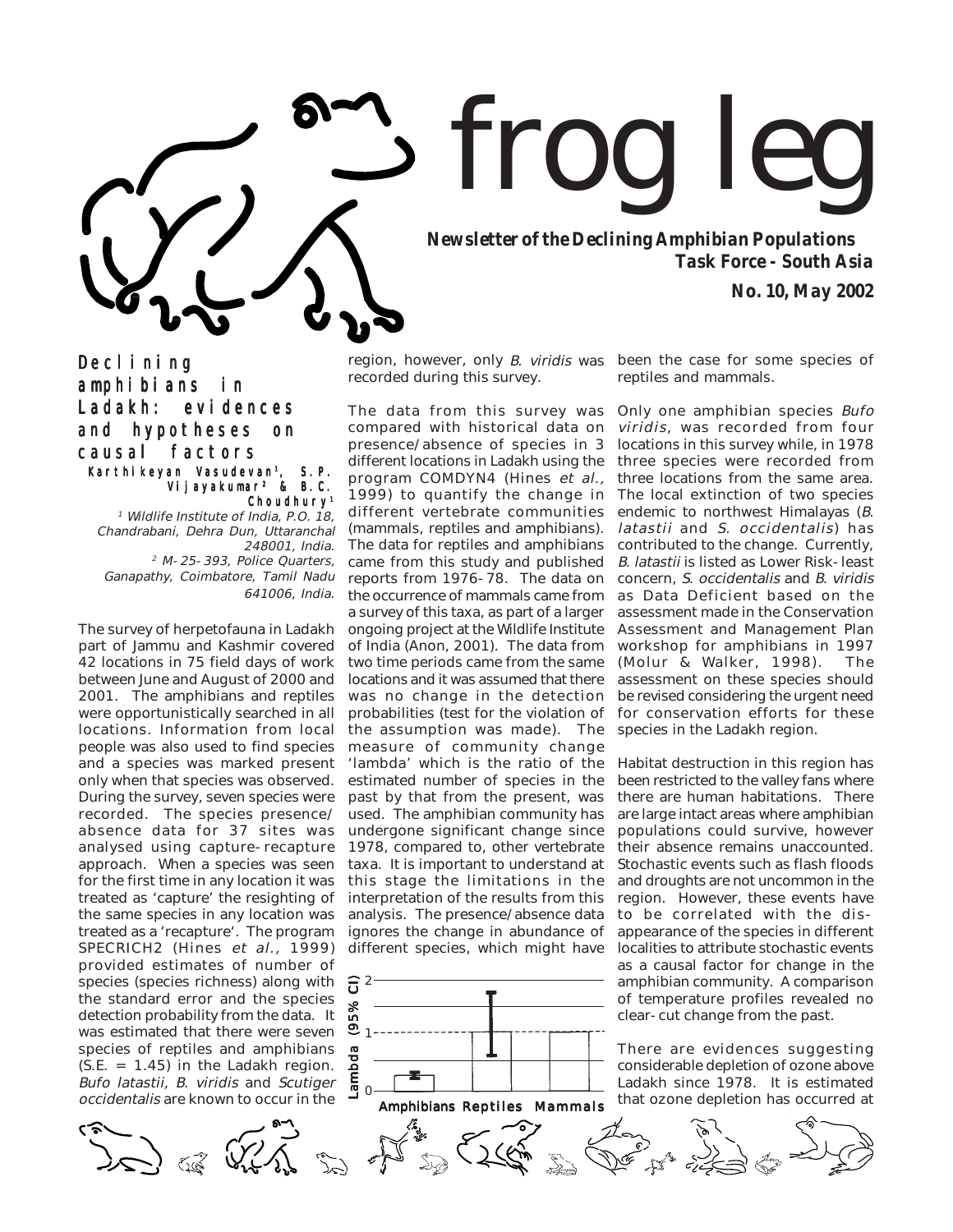

*Newsletter of the Declining Amphibian Populations Task Force - South Asia*

*No. 10, May 2002*

Decl i ni ng amphibians in Ladakh: evidences and hypotheses on causal factors Karthi keyan Vasudevan<sup>1</sup>, S.P.

Vijayakumar2 & B.C. Choudhury1

1 Wildlife Institute of India, P.O. 18, Chandrabani, Dehra Dun, Uttaranchal 248001, India. 2 M-25-393, Police Quarters, Ganapathy, Coimbatore, Tamil Nadu 641006, India.

The survey of herpetofauna in Ladakh part of Jammu and Kashmir covered 42 locations in 75 field days of work between June and August of 2000 and 2001. The amphibians and reptiles were opportunistically searched in all locations. Information from local people was also used to find species and a species was marked present only when that species was observed. During the survey, seven species were recorded. The species presence/ absence data for 37 sites was analysed using capture-recapture approach. When a species was seen for the first time in any location it was treated as 'capture' the resighting of the same species in any location was treated as a 'recapture'. The program SPECRICH2 (Hines et al., 1999) provided estimates of number of species (species richness) along with the standard error and the species detection probability from the data. It was estimated that there were seven species of reptiles and amphibians  $(S.E. = 1.45)$  in the Ladakh region. Bufo latastii, B. viridis and Scutiger occidentalis are known to occur in the

region, however, only *B. viridis* was been the case for some species of recorded during this survey.

The data from this survey was compared with historical data on presence/absence of species in 3 different locations in Ladakh using the program COMDYN4 (Hines et al., 1999) to quantify the change in The local extinction of two species different vertebrate communities (mammals, reptiles and amphibians). The data for reptiles and amphibians came from this study and published reports from 1976-78. The data on the occurrence of mammals came from a survey of this taxa, as part of a larger ongoing project at the Wildlife Institute of India (Anon, 2001). The data from two time periods came from the same locations and it was assumed that there was no change in the detection probabilities (test for the violation of the assumption was made). The measure of community change 'lambda' which is the ratio of the estimated number of species in the past by that from the present, was used. The amphibian community has undergone significant change since 1978, compared to, other vertebrate taxa. It is important to understand at this stage the limitations in the interpretation of the results from this analysis. The presence/absence data ignores the change in abundance of different species, which might have



reptiles and mammals.

Only one amphibian species Bufo viridis, was recorded from four locations in this survey while, in 1978 three species were recorded from three locations from the same area. endemic to northwest Himalayas (B. latastii and S. occidentalis) has contributed to the change. Currently, B. latastii is listed as Lower Risk-least concern, S. occidentalis and B. viridis as Data Deficient based on the assessment made in the Conservation Assessment and Management Plan workshop for amphibians in 1997 (Molur & Walker, 1998). The assessment on these species should be revised considering the urgent need for conservation efforts for these species in the Ladakh region.

Habitat destruction in this region has been restricted to the valley fans where there are human habitations. There are large intact areas where amphibian populations could survive, however their absence remains unaccounted. Stochastic events such as flash floods and droughts are not uncommon in the region. However, these events have to be correlated with the disappearance of the species in different localities to attribute stochastic events as a causal factor for change in the amphibian community. A comparison of temperature profiles revealed no clear-cut change from the past.

There are evidences suggesting considerable depletion of ozone above Ladakh since 1978. It is estimated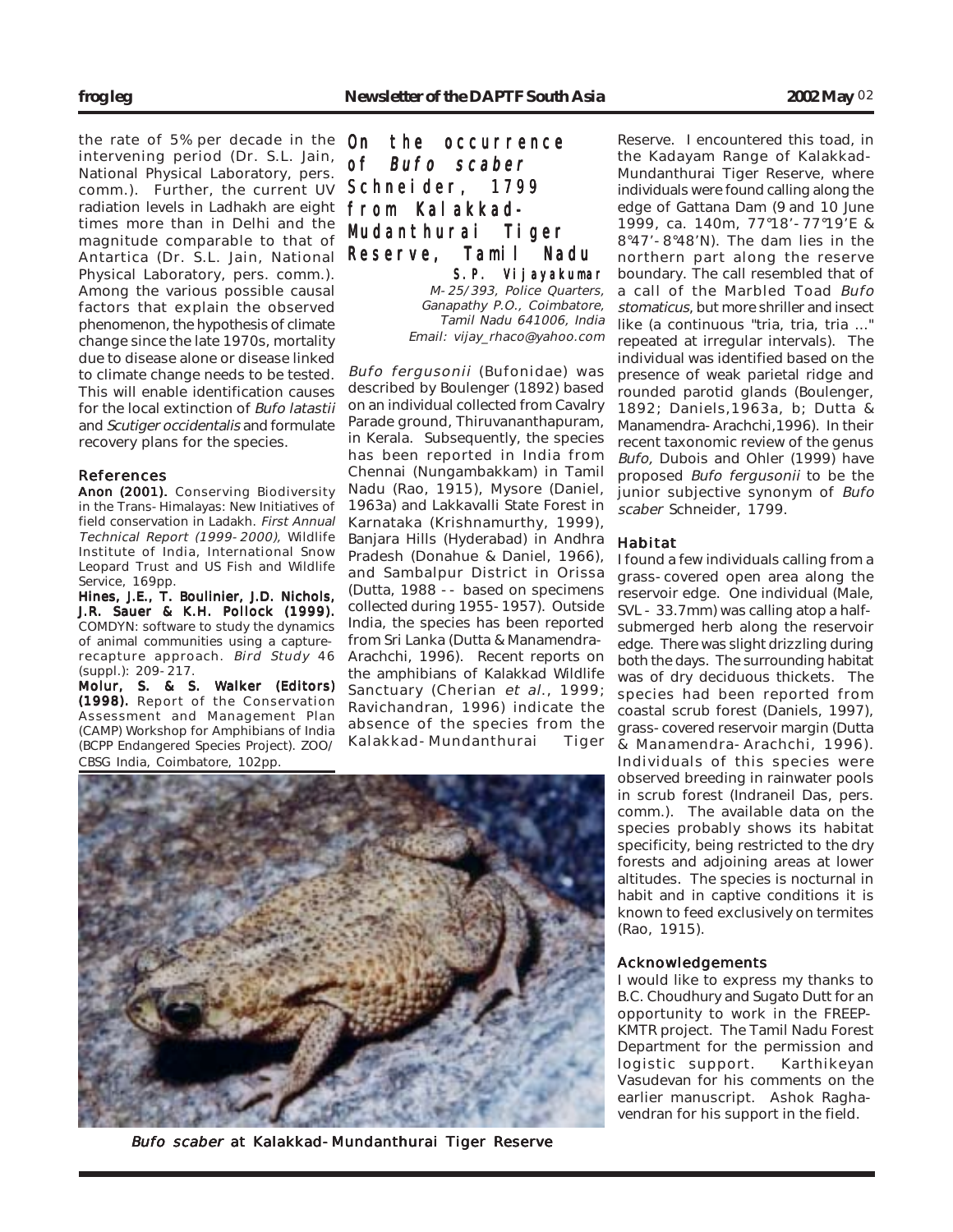the rate of 5% per decade in the intervening period (Dr. S.L. Jain, National Physical Laboratory, pers. comm.). Further, the current UV radiation levels in Ladhakh are eight times more than in Delhi and the magnitude comparable to that of Antartica (Dr. S.L. Jain, National Physical Laboratory, pers. comm.). Among the various possible causal factors that explain the observed phenomenon, the hypothesis of climate change since the late 1970s, mortality due to disease alone or disease linked to climate change needs to be tested. This will enable identification causes for the local extinction of Bufo latastii and Scutiger occidentalis and formulate recovery plans for the species.

## References

Anon (2001). Conserving Biodiversity in the Trans-Himalayas: New Initiatives of field conservation in Ladakh. First Annual Technical Report (1999-2000), Wildlife Institute of India, International Snow Leopard Trust and US Fish and Wildlife Service, 169pp.

Hines, J.E., T. Boulinier, J.D. Nichols, J.R. Sauer & K.H. Pollock (1999). COMDYN: software to study the dynamics of animal communities using a capturerecapture approach. Bird Study 46 (suppl.): 209-217.

Molur, S. & S. Walker (Editors) (1998). Report of the Conservation Assessment and Management Plan (CAMP) Workshop for Amphibians of India (BCPP Endangered Species Project). ZOO/ CBSG India, Coimbatore, 102pp.

# On the occurrence of Bufo scaber Schneider, 1799 from Kalakkad-Mudanthurai Tiger Reserve, Tamil Nadu S.P. Vijayakumar

M-25/393, Police Quarters, Ganapathy P.O., Coimbatore, Tamil Nadu 641006, India Email: vijay\_rhaco@yahoo.com

Bufo fergusonii (Bufonidae) was described by Boulenger (1892) based on an individual collected from Cavalry Parade ground, Thiruvananthapuram, in Kerala. Subsequently, the species has been reported in India from Chennai (Nungambakkam) in Tamil Nadu (Rao, 1915), Mysore (Daniel, 1963a) and Lakkavalli State Forest in Karnataka (Krishnamurthy, 1999), Banjara Hills (Hyderabad) in Andhra Pradesh (Donahue & Daniel, 1966), and Sambalpur District in Orissa (Dutta, 1988 -- based on specimens collected during 1955-1957). Outside India, the species has been reported from Sri Lanka (Dutta & Manamendra-Arachchi, 1996). Recent reports on the amphibians of Kalakkad Wildlife Sanctuary (Cherian et al., 1999; Ravichandran, 1996) indicate the absence of the species from the Kalakkad-Mundanthurai Tiger

Reserve. I encountered this toad, in the Kadayam Range of Kalakkad-Mundanthurai Tiger Reserve, where individuals were found calling along the edge of Gattana Dam (9 and 10 June 1999, ca. 140m, 77°18'-77°19'E & 8°47'-8°48'N). The dam lies in the northern part along the reserve boundary. The call resembled that of a call of the Marbled Toad Bufo stomaticus, but more shriller and insect like (a continuous "tria, tria, tria ..." repeated at irregular intervals). The individual was identified based on the presence of weak parietal ridge and rounded parotid glands (Boulenger, 1892; Daniels,1963a, b; Dutta & Manamendra-Arachchi,1996). In their recent taxonomic review of the genus Bufo, Dubois and Ohler (1999) have proposed Bufo fergusonii to be the junior subjective synonym of Bufo scaber Schneider, 1799.

## Habitat

I found a few individuals calling from a grass-covered open area along the reservoir edge. One individual (Male, SVL - 33.7mm) was calling atop a halfsubmerged herb along the reservoir edge. There was slight drizzling during both the days. The surrounding habitat was of dry deciduous thickets. The species had been reported from coastal scrub forest (Daniels, 1997), grass-covered reservoir margin (Dutta & Manamendra-Arachchi, 1996). Individuals of this species were observed breeding in rainwater pools in scrub forest (Indraneil Das, pers. comm.). The available data on the species probably shows its habitat specificity, being restricted to the dry forests and adjoining areas at lower altitudes. The species is nocturnal in habit and in captive conditions it is known to feed exclusively on termites (Rao, 1915).

## Acknowledgements

I would like to express my thanks to B.C. Choudhury and Sugato Dutt for an opportunity to work in the FREEP-KMTR project. The Tamil Nadu Forest Department for the permission and logistic support. Karthikeyan Vasudevan for his comments on the earlier manuscript. Ashok Raghavendran for his support in the field.

## Bufo scaber at Kalakkad-Mundanthurai Tiger Reserve

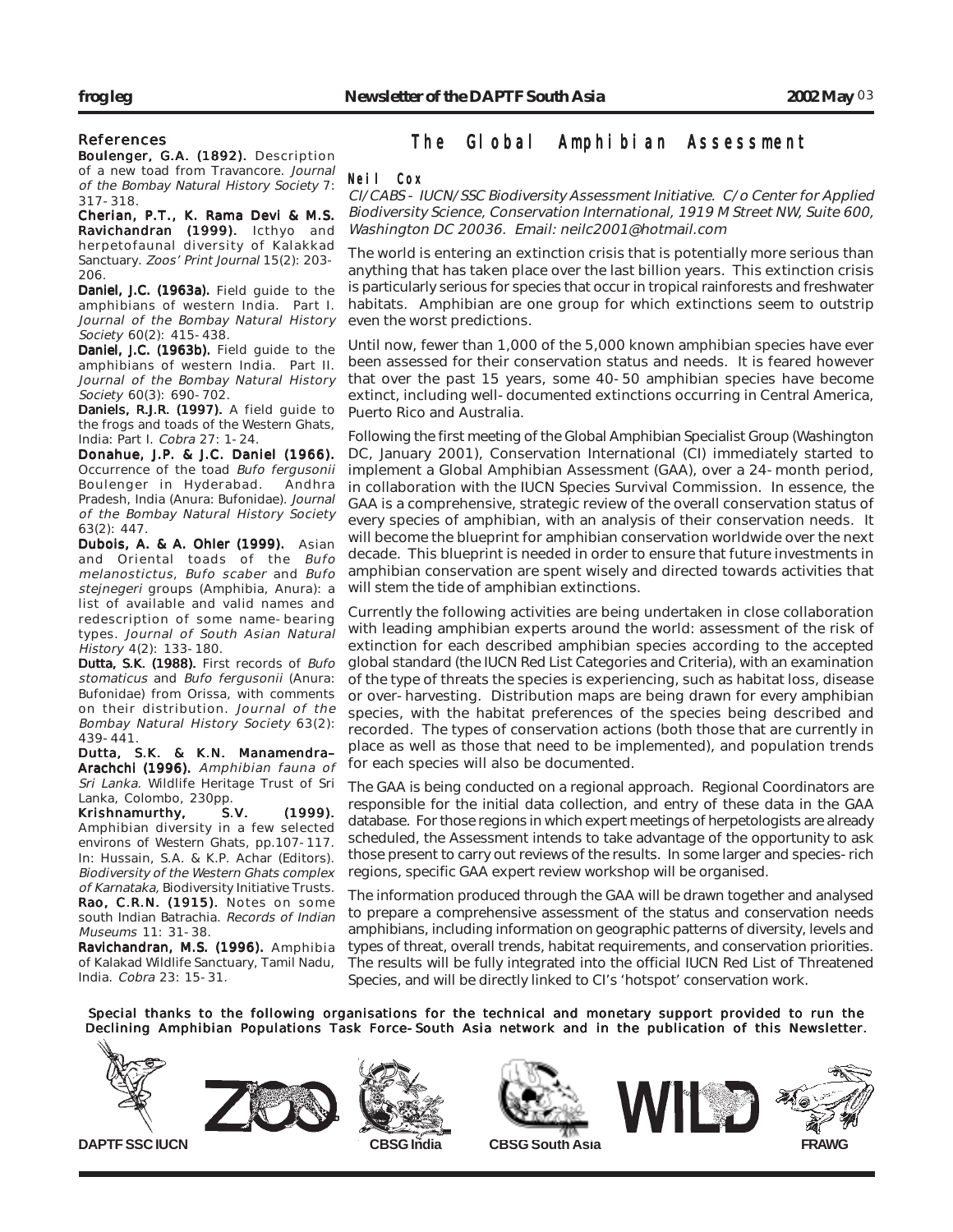## References

Boulenger, G.A. (1892). Description of a new toad from Travancore. Journal of the Bombay Natural History Society 7: 317-318.

Cherian, P.T., K. Rama Devi & M.S. Ravichandran (1999). Icthyo and herpetofaunal diversity of Kalakkad Sanctuary. Zoos' Print Journal 15(2): 203- 206.

Daniel, J.C. (1963a). Field guide to the amphibians of western India. Part I. Journal of the Bombay Natural History Society 60(2): 415-438.

Daniel, J.C. (1963b). Field guide to the amphibians of western India. Part II. Journal of the Bombay Natural History Society 60(3): 690-702.

Daniels, R.J.R. (1997). A field guide to the frogs and toads of the Western Ghats, India: Part I. Cobra 27: 1-24.

Donahue, J.P. & J.C. Daniel (1966). Occurrence of the toad Bufo fergusonii<br>Boulenger in Hyderabad. Andhra Boulenger in Hyderabad. Pradesh, India (Anura: Bufonidae). Journal of the Bombay Natural History Society 63(2): 447.

Dubois, A. & A. Ohler (1999). Asian and Oriental toads of the Bufo melanostictus, Bufo scaber and Bufo stejnegeri groups (Amphibia, Anura): a list of available and valid names and redescription of some name-bearing types. Journal of South Asian Natural History 4(2): 133-180.

Dutta, S.K. (1988). First records of Bufo stomaticus and Bufo fergusonii (Anura: Bufonidae) from Orissa, with comments on their distribution. Journal of the Bombay Natural History Society 63(2): 439-441.

Dutta, S.K. & K.N. Manamendra– Arachchi (1996). Amphibian fauna of Sri Lanka. Wildlife Heritage Trust of Sri Lanka, Colombo, 230pp.<br>Krishnamurthy, S.V.

Krishnamurthy, S.V. (1999). Amphibian diversity in a few selected environs of Western Ghats, pp.107-117. In: Hussain, S.A. & K.P. Achar (Editors). Biodiversity of the Western Ghats complex of Karnataka, Biodiversity Initiative Trusts. Rao, C.R.N. (1915). Notes on some south Indian Batrachia. Records of Indian Museums 11: 31-38.

Ravichandran, M.S. (1996). Amphibia of Kalakad Wildlife Sanctuary, Tamil Nadu, India. Cobra 23: 15-31.

# The Global Amphibian Assessment

## Neil Cox

CI/CABS - IUCN/SSC Biodiversity Assessment Initiative. C/o Center for Applied Biodiversity Science, Conservation International, 1919 M Street NW, Suite 600, Washington DC 20036. Email: neilc2001@hotmail.com

The world is entering an extinction crisis that is potentially more serious than anything that has taken place over the last billion years. This extinction crisis is particularly serious for species that occur in tropical rainforests and freshwater habitats. Amphibian are one group for which extinctions seem to outstrip even the worst predictions.

Until now, fewer than 1,000 of the 5,000 known amphibian species have ever been assessed for their conservation status and needs. It is feared however that over the past 15 years, some 40-50 amphibian species have become extinct, including well-documented extinctions occurring in Central America, Puerto Rico and Australia.

Following the first meeting of the Global Amphibian Specialist Group (Washington DC, January 2001), Conservation International (CI) immediately started to implement a Global Amphibian Assessment (GAA), over a 24-month period, in collaboration with the IUCN Species Survival Commission. In essence, the GAA is a comprehensive, strategic review of the overall conservation status of every species of amphibian, with an analysis of their conservation needs. It will become the blueprint for amphibian conservation worldwide over the next decade. This blueprint is needed in order to ensure that future investments in amphibian conservation are spent wisely and directed towards activities that will stem the tide of amphibian extinctions.

Currently the following activities are being undertaken in close collaboration with leading amphibian experts around the world: assessment of the risk of extinction for each described amphibian species according to the accepted global standard (the IUCN Red List Categories and Criteria), with an examination of the type of threats the species is experiencing, such as habitat loss, disease or over-harvesting. Distribution maps are being drawn for every amphibian species, with the habitat preferences of the species being described and recorded. The types of conservation actions (both those that are currently in place as well as those that need to be implemented), and population trends for each species will also be documented.

The GAA is being conducted on a regional approach. Regional Coordinators are responsible for the initial data collection, and entry of these data in the GAA database. For those regions in which expert meetings of herpetologists are already scheduled, the Assessment intends to take advantage of the opportunity to ask those present to carry out reviews of the results. In some larger and species-rich regions, specific GAA expert review workshop will be organised.

The information produced through the GAA will be drawn together and analysed to prepare a comprehensive assessment of the status and conservation needs amphibians, including information on geographic patterns of diversity, levels and types of threat, overall trends, habitat requirements, and conservation priorities. The results will be fully integrated into the official IUCN Red List of Threatened Species, and will be directly linked to CI's 'hotspot' conservation work.

Special thanks to the following organisations for the technical and monetary support provided to run the Declining Amphibian Populations Task Force-South Asia network and in the publication of this Newsletter.









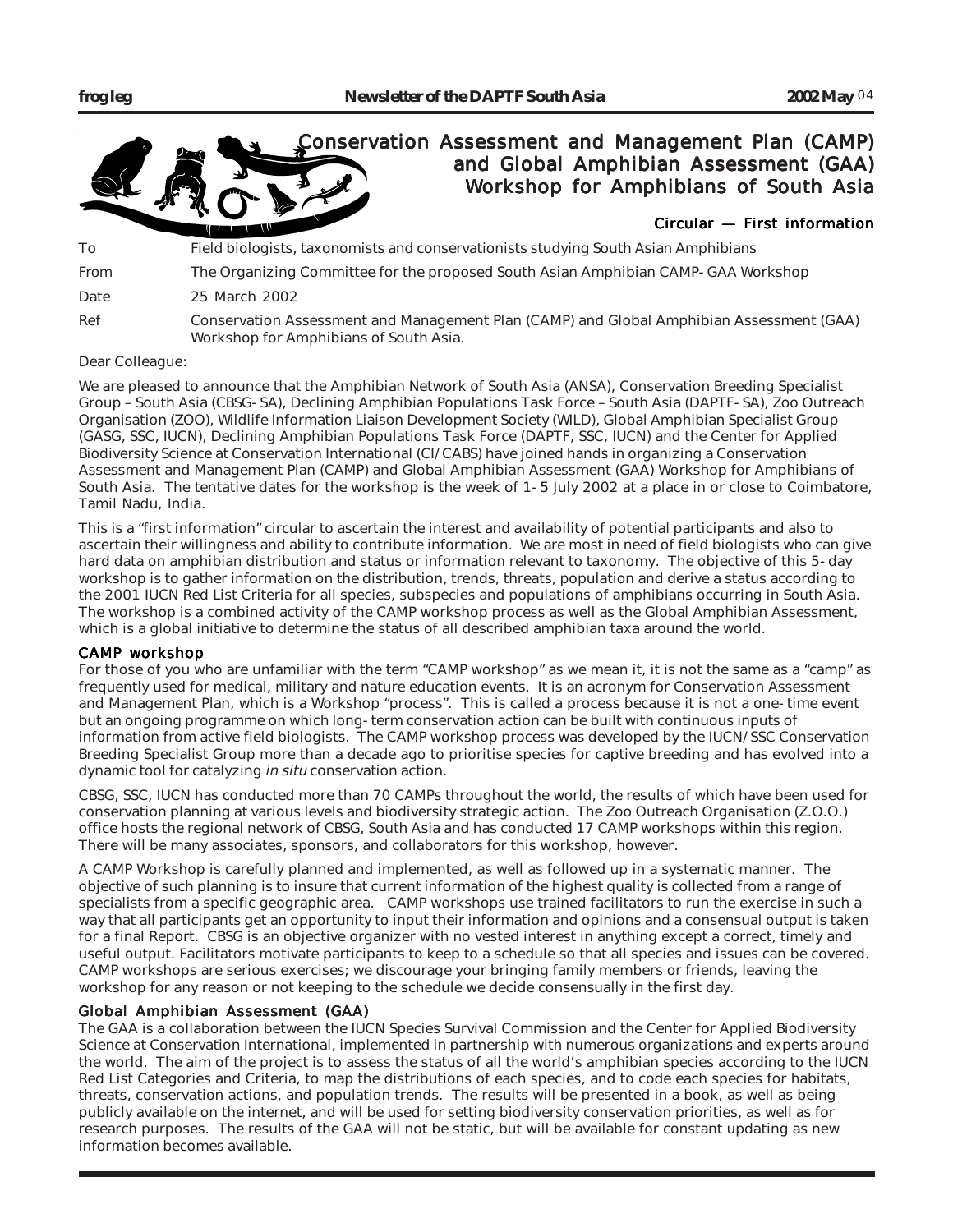

Dear Colleague:

We are pleased to announce that the Amphibian Network of South Asia (ANSA), Conservation Breeding Specialist Group – South Asia (CBSG-SA), Declining Amphibian Populations Task Force – South Asia (DAPTF-SA), Zoo Outreach Organisation (ZOO), Wildlife Information Liaison Development Society (WILD), Global Amphibian Specialist Group (GASG, SSC, IUCN), Declining Amphibian Populations Task Force (DAPTF, SSC, IUCN) and the Center for Applied Biodiversity Science at Conservation International (CI/CABS) have joined hands in organizing a Conservation Assessment and Management Plan (CAMP) and Global Amphibian Assessment (GAA) Workshop for Amphibians of South Asia. The tentative dates for the workshop is the week of 1-5 July 2002 at a place in or close to Coimbatore, Tamil Nadu, India.

This is a "first information" circular to ascertain the interest and availability of potential participants and also to ascertain their willingness and ability to contribute information. We are most in need of field biologists who can give hard data on amphibian distribution and status or information relevant to taxonomy. The objective of this 5-day workshop is to gather information on the distribution, trends, threats, population and derive a status according to the 2001 IUCN Red List Criteria for all species, subspecies and populations of amphibians occurring in South Asia. The workshop is a combined activity of the CAMP workshop process as well as the Global Amphibian Assessment, which is a global initiative to determine the status of all described amphibian taxa around the world.

# CAMP workshop

For those of you who are unfamiliar with the term "CAMP workshop" as we mean it, it is not the same as a "camp" as frequently used for medical, military and nature education events. It is an acronym for Conservation Assessment and Management Plan, which is a Workshop "process". This is called a process because it is not a one-time event but an ongoing programme on which long-term conservation action can be built with continuous inputs of information from active field biologists. The CAMP workshop process was developed by the IUCN/SSC Conservation Breeding Specialist Group more than a decade ago to prioritise species for captive breeding and has evolved into a dynamic tool for catalyzing in situ conservation action.

CBSG, SSC, IUCN has conducted more than 70 CAMPs throughout the world, the results of which have been used for conservation planning at various levels and biodiversity strategic action. The Zoo Outreach Organisation (Z.O.O.) office hosts the regional network of CBSG, South Asia and has conducted 17 CAMP workshops within this region. There will be many associates, sponsors, and collaborators for this workshop, however.

A CAMP Workshop is carefully planned and implemented, as well as followed up in a systematic manner. The objective of such planning is to insure that current information of the highest quality is collected from a range of specialists from a specific geographic area. CAMP workshops use trained facilitators to run the exercise in such a way that all participants get an opportunity to input their information and opinions and a consensual output is taken for a final Report. CBSG is an objective organizer with no vested interest in anything except a correct, timely and useful output. Facilitators motivate participants to keep to a schedule so that all species and issues can be covered. CAMP workshops are serious exercises; we discourage your bringing family members or friends, leaving the workshop for any reason or not keeping to the schedule we decide consensually in the first day.

# Global Amphibian Assessment (GAA)

The GAA is a collaboration between the IUCN Species Survival Commission and the Center for Applied Biodiversity Science at Conservation International, implemented in partnership with numerous organizations and experts around the world. The aim of the project is to assess the status of all the world's amphibian species according to the IUCN Red List Categories and Criteria, to map the distributions of each species, and to code each species for habitats, threats, conservation actions, and population trends. The results will be presented in a book, as well as being publicly available on the internet, and will be used for setting biodiversity conservation priorities, as well as for research purposes. The results of the GAA will not be static, but will be available for constant updating as new information becomes available.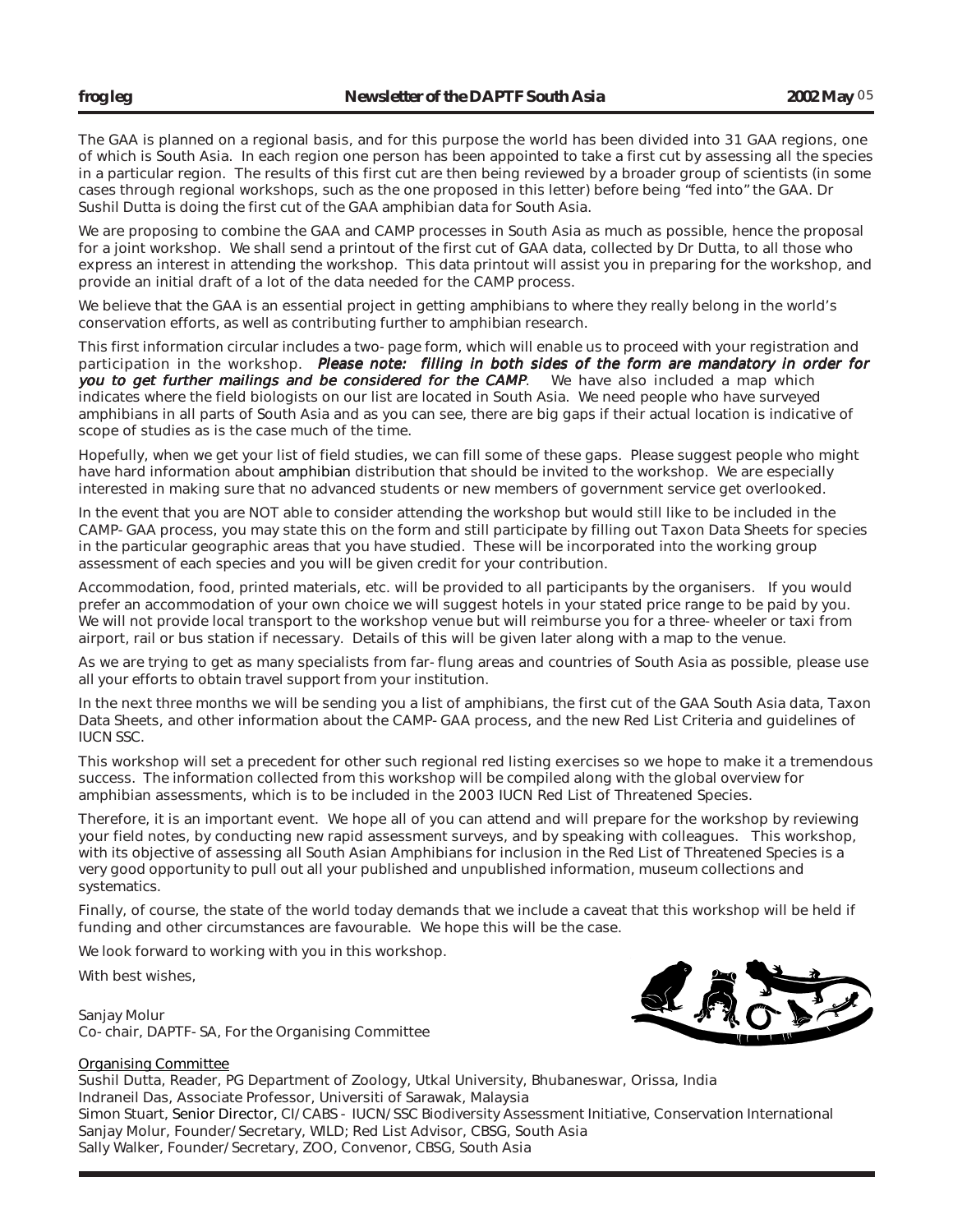The GAA is planned on a regional basis, and for this purpose the world has been divided into 31 GAA regions, one of which is South Asia. In each region one person has been appointed to take a first cut by assessing all the species in a particular region. The results of this first cut are then being reviewed by a broader group of scientists (in some cases through regional workshops, such as the one proposed in this letter) before being "fed into" the GAA. Dr Sushil Dutta is doing the first cut of the GAA amphibian data for South Asia.

We are proposing to combine the GAA and CAMP processes in South Asia as much as possible, hence the proposal for a joint workshop. We shall send a printout of the first cut of GAA data, collected by Dr Dutta, to all those who express an interest in attending the workshop. This data printout will assist you in preparing for the workshop, and provide an initial draft of a lot of the data needed for the CAMP process.

We believe that the GAA is an essential project in getting amphibians to where they really belong in the world's conservation efforts, as well as contributing further to amphibian research.

This first information circular includes a two-page form, which will enable us to proceed with your registration and participation in the workshop. Please note: filling in both sides of the form are mandatory in order for you to get further mailings and be considered for the CAMP. We have also included a map which indicates where the field biologists on our list are located in South Asia. We need people who have surveyed amphibians in all parts of South Asia and as you can see, there are big gaps if their actual location is indicative of scope of studies as is the case much of the time.

Hopefully, when we get your list of field studies, we can fill some of these gaps. Please suggest people who might have hard information about amphibian distribution that should be invited to the workshop. We are especially interested in making sure that no advanced students or new members of government service get overlooked.

In the event that you are NOT able to consider attending the workshop but would still like to be included in the CAMP-GAA process, you may state this on the form and still participate by filling out Taxon Data Sheets for species in the particular geographic areas that you have studied. These will be incorporated into the working group assessment of each species and you will be given credit for your contribution.

Accommodation, food, printed materials, etc. will be provided to all participants by the organisers. If you would prefer an accommodation of your own choice we will suggest hotels in your stated price range to be paid by you. We will not provide local transport to the workshop venue but will reimburse you for a three-wheeler or taxi from airport, rail or bus station if necessary. Details of this will be given later along with a map to the venue.

As we are trying to get as many specialists from far-flung areas and countries of South Asia as possible, please use all your efforts to obtain travel support from your institution.

In the next three months we will be sending you a list of amphibians, the first cut of the GAA South Asia data, Taxon Data Sheets, and other information about the CAMP-GAA process, and the new Red List Criteria and guidelines of IUCN SSC.

This workshop will set a precedent for other such regional red listing exercises so we hope to make it a tremendous success. The information collected from this workshop will be compiled along with the global overview for amphibian assessments, which is to be included in the 2003 IUCN Red List of Threatened Species.

Therefore, it is an important event. We hope all of you can attend and will prepare for the workshop by reviewing your field notes, by conducting new rapid assessment surveys, and by speaking with colleagues. This workshop, with its objective of assessing all South Asian Amphibians for inclusion in the Red List of Threatened Species is a very good opportunity to pull out all your published and unpublished information, museum collections and systematics.

Finally, of course, the state of the world today demands that we include a caveat that this workshop will be held if funding and other circumstances are favourable. We hope this will be the case.

We look forward to working with you in this workshop.

With best wishes,

Sanjay Molur Co-chair, DAPTF-SA, For the Organising Committee



# Organising Committee

Sushil Dutta, Reader, PG Department of Zoology, Utkal University, Bhubaneswar, Orissa, India Indraneil Das, Associate Professor, Universiti of Sarawak, Malaysia Simon Stuart, Senior Director, CI/CABS - IUCN/SSC Biodiversity Assessment Initiative, Conservation International Sanjay Molur, Founder/Secretary, WILD; Red List Advisor, CBSG, South Asia Sally Walker, Founder/Secretary, ZOO, Convenor, CBSG, South Asia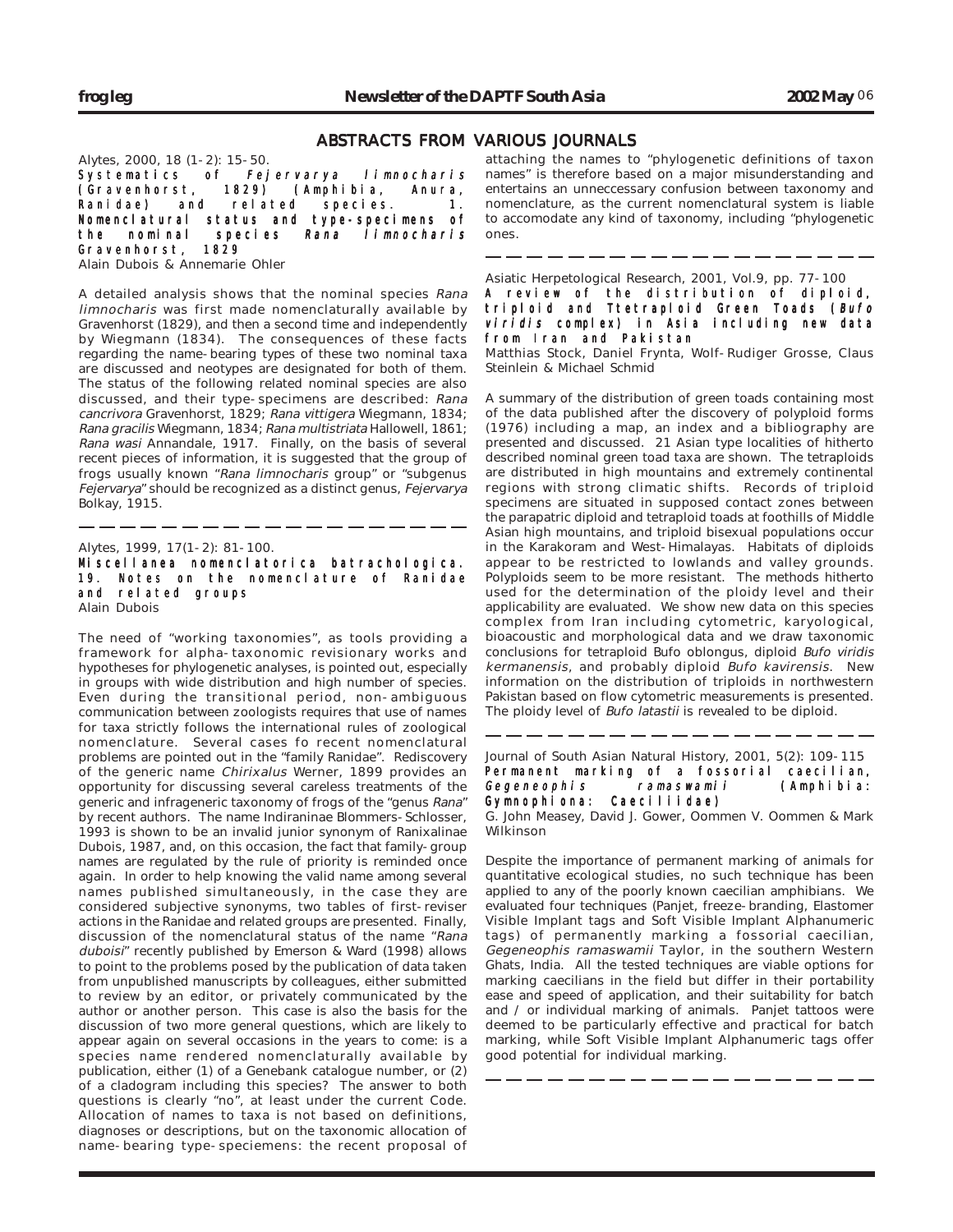## ABSTRACTS FROM VARIOUS JOURNALS

Alytes, 2000, 18 (1-2): 15-50.

Systematics of *Fejervarya limnocharis*<br>(Gravenhorst, 1829) (Amphibia, Anura, (Gravenhorst, 1829) (Amphibia, Anura, Ranidae) and related species. 1. Nomenclatural status and type-specimens of the nominal species Rana limnocharis Gravenhorst, 1829

Alain Dubois & Annemarie Ohler

A detailed analysis shows that the nominal species Rana limnocharis was first made nomenclaturally available by Gravenhorst (1829), and then a second time and independently by Wiegmann (1834). The consequences of these facts regarding the name-bearing types of these two nominal taxa are discussed and neotypes are designated for both of them. The status of the following related nominal species are also discussed, and their type-specimens are described: Rana cancrivora Gravenhorst, 1829; Rana vittigera Wiegmann, 1834; Rana gracilis Wiegmann, 1834; Rana multistriata Hallowell, 1861; Rana wasi Annandale, 1917. Finally, on the basis of several recent pieces of information, it is suggested that the group of frogs usually known "Rana limnocharis group" or "subgenus Fejervarya" should be recognized as a distinct genus, Fejervarya Bolkay, 1915.

Alytes, 1999, 17(1-2): 81-100.

Miscellanea nomenclatorica batrachologica. 19. Notes on the nomenclature of Ranidae and related groups Alain Dubois

The need of "working taxonomies", as tools providing a framework for alpha-taxonomic revisionary works and hypotheses for phylogenetic analyses, is pointed out, especially in groups with wide distribution and high number of species. Even during the transitional period, non-ambiguous communication between zoologists requires that use of names for taxa strictly follows the international rules of zoological nomenclature. Several cases fo recent nomenclatural problems are pointed out in the "family Ranidae". Rediscovery of the generic name Chirixalus Werner, 1899 provides an opportunity for discussing several careless treatments of the generic and infrageneric taxonomy of frogs of the "genus Rana" by recent authors. The name Indiraninae Blommers-Schlosser, 1993 is shown to be an invalid junior synonym of Ranixalinae Dubois, 1987, and, on this occasion, the fact that family-group names are regulated by the rule of priority is reminded once again. In order to help knowing the valid name among several names published simultaneously, in the case they are considered subjective synonyms, two tables of first-reviser actions in the Ranidae and related groups are presented. Finally, discussion of the nomenclatural status of the name "Rana duboisi" recently published by Emerson & Ward (1998) allows to point to the problems posed by the publication of data taken from unpublished manuscripts by colleagues, either submitted to review by an editor, or privately communicated by the author or another person. This case is also the basis for the discussion of two more general questions, which are likely to appear again on several occasions in the years to come: is a species name rendered nomenclaturally available by publication, either (1) of a Genebank catalogue number, or (2) of a cladogram including this species? The answer to both questions is clearly "no", at least under the current Code. Allocation of names to taxa is not based on definitions, diagnoses or descriptions, but on the taxonomic allocation of name-bearing type-speciemens: the recent proposal of

attaching the names to "phylogenetic definitions of taxon names" is therefore based on a major misunderstanding and entertains an unneccessary confusion between taxonomy and nomenclature, as the current nomenclatural system is liable to accomodate any kind of taxonomy, including "phylogenetic ones.

Asiatic Herpetological Research, 2001, Vol.9, pp. 77-100 A review of the distribution of diploid, triploid and Ttetraploid Green Toads (Bufo viridis complex) in Asia including new data from Iran and Pakistan

Matthias Stock, Daniel Frynta, Wolf-Rudiger Grosse, Claus Steinlein & Michael Schmid

A summary of the distribution of green toads containing most of the data published after the discovery of polyploid forms (1976) including a map, an index and a bibliography are presented and discussed. 21 Asian type localities of hitherto described nominal green toad taxa are shown. The tetraploids are distributed in high mountains and extremely continental regions with strong climatic shifts. Records of triploid specimens are situated in supposed contact zones between the parapatric diploid and tetraploid toads at foothills of Middle Asian high mountains, and triploid bisexual populations occur in the Karakoram and West-Himalayas. Habitats of diploids appear to be restricted to lowlands and valley grounds. Polyploids seem to be more resistant. The methods hitherto used for the determination of the ploidy level and their applicability are evaluated. We show new data on this species complex from Iran including cytometric, karyological, bioacoustic and morphological data and we draw taxonomic conclusions for tetraploid Bufo oblongus, diploid Bufo viridis kermanensis, and probably diploid Bufo kavirensis. New information on the distribution of triploids in northwestern Pakistan based on flow cytometric measurements is presented. The ploidy level of Bufo latastii is revealed to be diploid.

Journal of South Asian Natural History, 2001, 5(2): 109-115 Permanent marking of a fossorial caecilian, Gegeneophis ramaswamii (Amphibia:<br>Gymnophiona: Caeciliidae) Gymnophiona:

G. John Measey, David J. Gower, Oommen V. Oommen & Mark Wilkinson

Despite the importance of permanent marking of animals for quantitative ecological studies, no such technique has been applied to any of the poorly known caecilian amphibians. We evaluated four techniques (Panjet, freeze-branding, Elastomer Visible Implant tags and Soft Visible Implant Alphanumeric tags) of permanently marking a fossorial caecilian, Gegeneophis ramaswamii Taylor, in the southern Western Ghats, India. All the tested techniques are viable options for marking caecilians in the field but differ in their portability ease and speed of application, and their suitability for batch and / or individual marking of animals. Panjet tattoos were deemed to be particularly effective and practical for batch marking, while Soft Visible Implant Alphanumeric tags offer good potential for individual marking.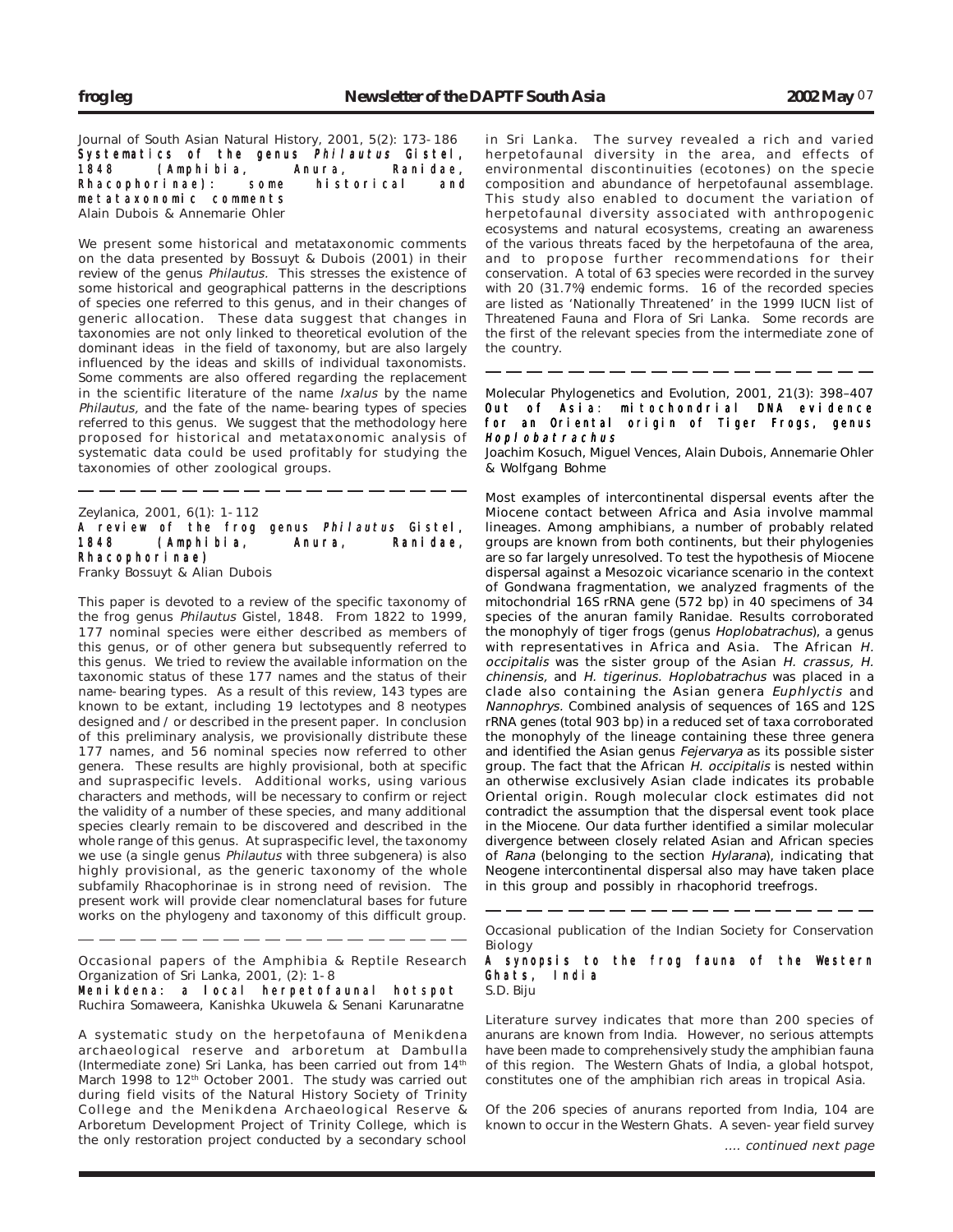Journal of South Asian Natural History, 2001, 5(2): 173-186 Systematics of the genus *Philautus* Gistel,<br>1848 (Amphibia, Anura, Ranidae, (Amphibia, Anura, Rhacophorinae): some historical and metataxonomic comments Alain Dubois & Annemarie Ohler

We present some historical and metataxonomic comments on the data presented by Bossuyt & Dubois (2001) in their review of the genus Philautus. This stresses the existence of some historical and geographical patterns in the descriptions of species one referred to this genus, and in their changes of generic allocation. These data suggest that changes in taxonomies are not only linked to theoretical evolution of the dominant ideas in the field of taxonomy, but are also largely influenced by the ideas and skills of individual taxonomists. Some comments are also offered regarding the replacement in the scientific literature of the name Ixalus by the name Philautus, and the fate of the name-bearing types of species referred to this genus. We suggest that the methodology here proposed for historical and metataxonomic analysis of systematic data could be used profitably for studying the taxonomies of other zoological groups.

Zeylanica, 2001, 6(1): 1-112 A review of the frog genus Philautus Gistel, 1848 (Amphibia, Anura, Ranidae, Rhacophorinae) Franky Bossuyt & Alian Dubois

This paper is devoted to a review of the specific taxonomy of the frog genus Philautus Gistel, 1848. From 1822 to 1999, 177 nominal species were either described as members of this genus, or of other genera but subsequently referred to this genus. We tried to review the available information on the taxonomic status of these 177 names and the status of their name-bearing types. As a result of this review, 143 types are known to be extant, including 19 lectotypes and 8 neotypes designed and / or described in the present paper. In conclusion of this preliminary analysis, we provisionally distribute these 177 names, and 56 nominal species now referred to other genera. These results are highly provisional, both at specific and supraspecific levels. Additional works, using various characters and methods, will be necessary to confirm or reject the validity of a number of these species, and many additional species clearly remain to be discovered and described in the whole range of this genus. At supraspecific level, the taxonomy we use (a single genus Philautus with three subgenera) is also highly provisional, as the generic taxonomy of the whole subfamily Rhacophorinae is in strong need of revision. The present work will provide clear nomenclatural bases for future works on the phylogeny and taxonomy of this difficult group.

Occasional papers of the Amphibia & Reptile Research Organization of Sri Lanka, 2001, (2): 1-8

Menikdena: a local herpetofaunal hotspot Ruchira Somaweera, Kanishka Ukuwela & Senani Karunaratne

A systematic study on the herpetofauna of Menikdena archaeological reserve and arboretum at Dambulla (Intermediate zone) Sri Lanka, has been carried out from 14<sup>th</sup> March 1998 to 12<sup>th</sup> October 2001. The study was carried out during field visits of the Natural History Society of Trinity College and the Menikdena Archaeological Reserve & Arboretum Development Project of Trinity College, which is the only restoration project conducted by a secondary school

in Sri Lanka. The survey revealed a rich and varied herpetofaunal diversity in the area, and effects of environmental discontinuities (ecotones) on the specie composition and abundance of herpetofaunal assemblage. This study also enabled to document the variation of herpetofaunal diversity associated with anthropogenic ecosystems and natural ecosystems, creating an awareness of the various threats faced by the herpetofauna of the area, and to propose further recommendations for their conservation. A total of 63 species were recorded in the survey with 20 (31.7%) endemic forms. 16 of the recorded species are listed as 'Nationally Threatened' in the 1999 IUCN list of Threatened Fauna and Flora of Sri Lanka. Some records are the first of the relevant species from the intermediate zone of the country.

Molecular Phylogenetics and Evolution, 2001, 21(3): 398–407 Out of Asia: mitochondrial DNA evidence for an Oriental origin of Tiger Frogs, genus Hoplobatrachus

-------------------

Joachim Kosuch, Miguel Vences, Alain Dubois, Annemarie Ohler & Wolfgang Bohme

Most examples of intercontinental dispersal events after the Miocene contact between Africa and Asia involve mammal lineages. Among amphibians, a number of probably related groups are known from both continents, but their phylogenies are so far largely unresolved. To test the hypothesis of Miocene dispersal against a Mesozoic vicariance scenario in the context of Gondwana fragmentation, we analyzed fragments of the mitochondrial 16S rRNA gene (572 bp) in 40 specimens of 34 species of the anuran family Ranidae. Results corroborated the monophyly of tiger frogs (genus Hoplobatrachus), a genus with representatives in Africa and Asia. The African H. occipitalis was the sister group of the Asian H. crassus, H. chinensis, and H. tigerinus. Hoplobatrachus was placed in a clade also containing the Asian genera Euphlyctis and Nannophrys. Combined analysis of sequences of 16S and 12S rRNA genes (total 903 bp) in a reduced set of taxa corroborated the monophyly of the lineage containing these three genera and identified the Asian genus Fejervarya as its possible sister group. The fact that the African H. occipitalis is nested within an otherwise exclusively Asian clade indicates its probable Oriental origin. Rough molecular clock estimates did not contradict the assumption that the dispersal event took place in the Miocene. Our data further identified a similar molecular divergence between closely related Asian and African species of Rana (belonging to the section Hylarana), indicating that Neogene intercontinental dispersal also may have taken place in this group and possibly in rhacophorid treefrogs.

Occasional publication of the Indian Society for Conservation Biology

A synopsis to the frog fauna of the Western Ghats, India S.D. Biju

Literature survey indicates that more than 200 species of anurans are known from India. However, no serious attempts have been made to comprehensively study the amphibian fauna of this region. The Western Ghats of India, a global hotspot, constitutes one of the amphibian rich areas in tropical Asia.

Of the 206 species of anurans reported from India, 104 are known to occur in the Western Ghats. A seven-year field survey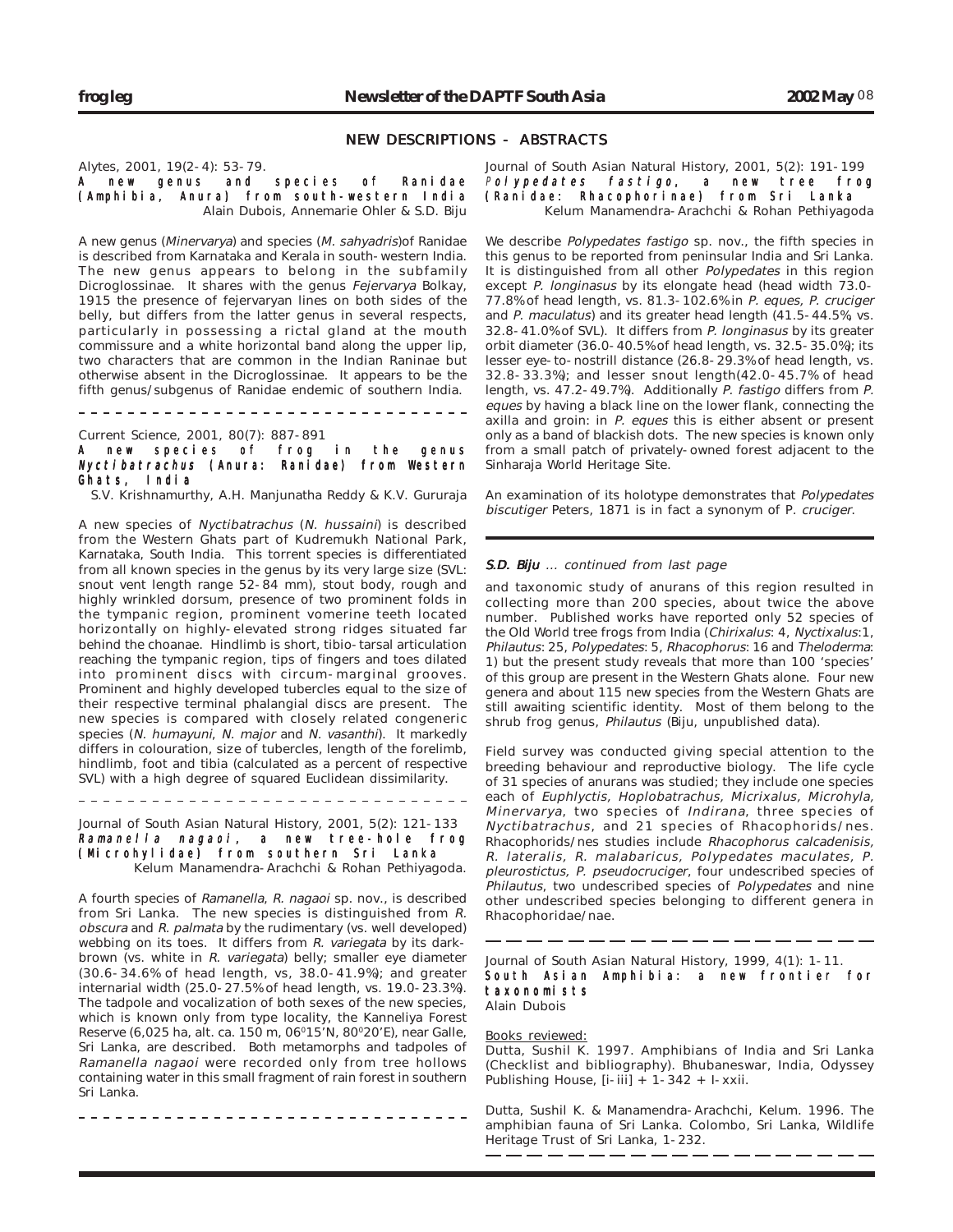## NEW DESCRIPTIONS - ABSTRACTS

Alytes, 2001, 19(2-4): 53-79.

A new genus and species of Ranidae (Amphibia, Anura) from south-western India Alain Dubois, Annemarie Ohler & S.D. Biju

A new genus (Minervarya) and species (M. sahyadris)of Ranidae is described from Karnataka and Kerala in south-western India. The new genus appears to belong in the subfamily Dicroglossinae. It shares with the genus Fejervarya Bolkay, 1915 the presence of fejervaryan lines on both sides of the belly, but differs from the latter genus in several respects, particularly in possessing a rictal gland at the mouth commissure and a white horizontal band along the upper lip, two characters that are common in the Indian Raninae but otherwise absent in the Dicroglossinae. It appears to be the fifth genus/subgenus of Ranidae endemic of southern India.

Current Science, 2001, 80(7): 887-891

new species of frog in the genus Nyctibatrachus (Anura: Ranidae) from Western Ghats, India

---------------------------------

S.V. Krishnamurthy, A.H. Manjunatha Reddy & K.V. Gururaja

A new species of Nyctibatrachus (N. hussaini) is described from the Western Ghats part of Kudremukh National Park, Karnataka, South India. This torrent species is differentiated from all known species in the genus by its very large size (SVL: snout vent length range 52-84 mm), stout body, rough and highly wrinkled dorsum, presence of two prominent folds in the tympanic region, prominent vomerine teeth located horizontally on highly-elevated strong ridges situated far behind the choanae. Hindlimb is short, tibio-tarsal articulation reaching the tympanic region, tips of fingers and toes dilated into prominent discs with circum-marginal grooves. Prominent and highly developed tubercles equal to the size of their respective terminal phalangial discs are present. The new species is compared with closely related congeneric species (N. humayuni, N. major and N. vasanthi). It markedly differs in colouration, size of tubercles, length of the forelimb, hindlimb, foot and tibia (calculated as a percent of respective SVL) with a high degree of squared Euclidean dissimilarity.

Journal of South Asian Natural History, 2001, 5(2): 121-133 Ramanella nagaoi, a new tree-hole frog (Microhylidae) from southern Sri Lanka Kelum Manamendra-Arachchi & Rohan Pethiyagoda.

---------------------------------

A fourth species of Ramanella, R. nagaoi sp. nov., is described from Sri Lanka. The new species is distinguished from R. obscura and R. palmata by the rudimentary (vs. well developed) webbing on its toes. It differs from R. variegata by its darkbrown (vs. white in R. variegata) belly; smaller eye diameter (30.6-34.6% of head length, vs, 38.0-41.9%); and greater internarial width (25.0-27.5% of head length, vs. 19.0-23.3%). The tadpole and vocalization of both sexes of the new species, which is known only from type locality, the Kanneliya Forest Reserve (6,025 ha, alt. ca. 150 m, 06015'N, 80020'E), near Galle, Sri Lanka, are described. Both metamorphs and tadpoles of Ramanella nagaoi were recorded only from tree hollows containing water in this small fragment of rain forest in southern Sri Lanka.

Journal of South Asian Natural History, 2001, 5(2): 191-199 Polypedates fastigo, a new tree frog (Ranidae: Rhacophorinae) from Sri Lanka Kelum Manamendra-Arachchi & Rohan Pethiyagoda

We describe *Polypedates fastigo* sp. nov., the fifth species in this genus to be reported from peninsular India and Sri Lanka. It is distinguished from all other *Polypedates* in this region except P. longinasus by its elongate head (head width 73.0- 77.8% of head length, vs. 81.3-102.6% in P. eques, P. cruciger and P. maculatus) and its greater head length (41.5-44.5%, vs. 32.8-41.0% of SVL). It differs from P. longinasus by its greater orbit diameter (36.0-40.5% of head length, vs. 32.5-35.0%); its lesser eye-to-nostrill distance (26.8-29.3% of head length, vs. 32.8-33.3%); and lesser snout length(42.0-45.7% of head length, vs. 47.2-49.7%). Additionally P. fastigo differs from P. eques by having a black line on the lower flank, connecting the axilla and groin: in P. eques this is either absent or present only as a band of blackish dots. The new species is known only from a small patch of privately-owned forest adjacent to the Sinharaja World Heritage Site.

An examination of its holotype demonstrates that Polypedates biscutiger Peters, 1871 is in fact a synonym of P. cruciger.

#### S.D. Biju ... continued from last page

and taxonomic study of anurans of this region resulted in collecting more than 200 species, about twice the above number. Published works have reported only 52 species of the Old World tree frogs from India (Chirixalus: 4, Nyctixalus:1, Philautus: 25, Polypedates: 5, Rhacophorus: 16 and Theloderma: 1) but the present study reveals that more than 100 'species' of this group are present in the Western Ghats alone. Four new genera and about 115 new species from the Western Ghats are still awaiting scientific identity. Most of them belong to the shrub frog genus, Philautus (Biju, unpublished data).

Field survey was conducted giving special attention to the breeding behaviour and reproductive biology. The life cycle of 31 species of anurans was studied; they include one species each of Euphlyctis, Hoplobatrachus, Micrixalus, Microhyla, Minervarya, two species of Indirana, three species of Nyctibatrachus, and 21 species of Rhacophorids/nes. Rhacophorids/nes studies include Rhacophorus calcadenisis, R. lateralis, R. malabaricus, Polypedates maculates, P. pleurostictus, P. pseudocruciger, four undescribed species of Philautus, two undescribed species of Polypedates and nine other undescribed species belonging to different genera in Rhacophoridae/nae.

Journal of South Asian Natural History, 1999, 4(1): 1-11. South Asian Amphibia: a new frontier for taxonomists Alain Dubois

#### Books reviewed:

Dutta, Sushil K. 1997. Amphibians of India and Sri Lanka (Checklist and bibliography). Bhubaneswar, India, Odyssey Publishing House,  $[i-iii] + 1-342 + 1-xxii$ .

Dutta, Sushil K. & Manamendra-Arachchi, Kelum. 1996. The amphibian fauna of Sri Lanka. Colombo, Sri Lanka, Wildlife Heritage Trust of Sri Lanka, 1-232.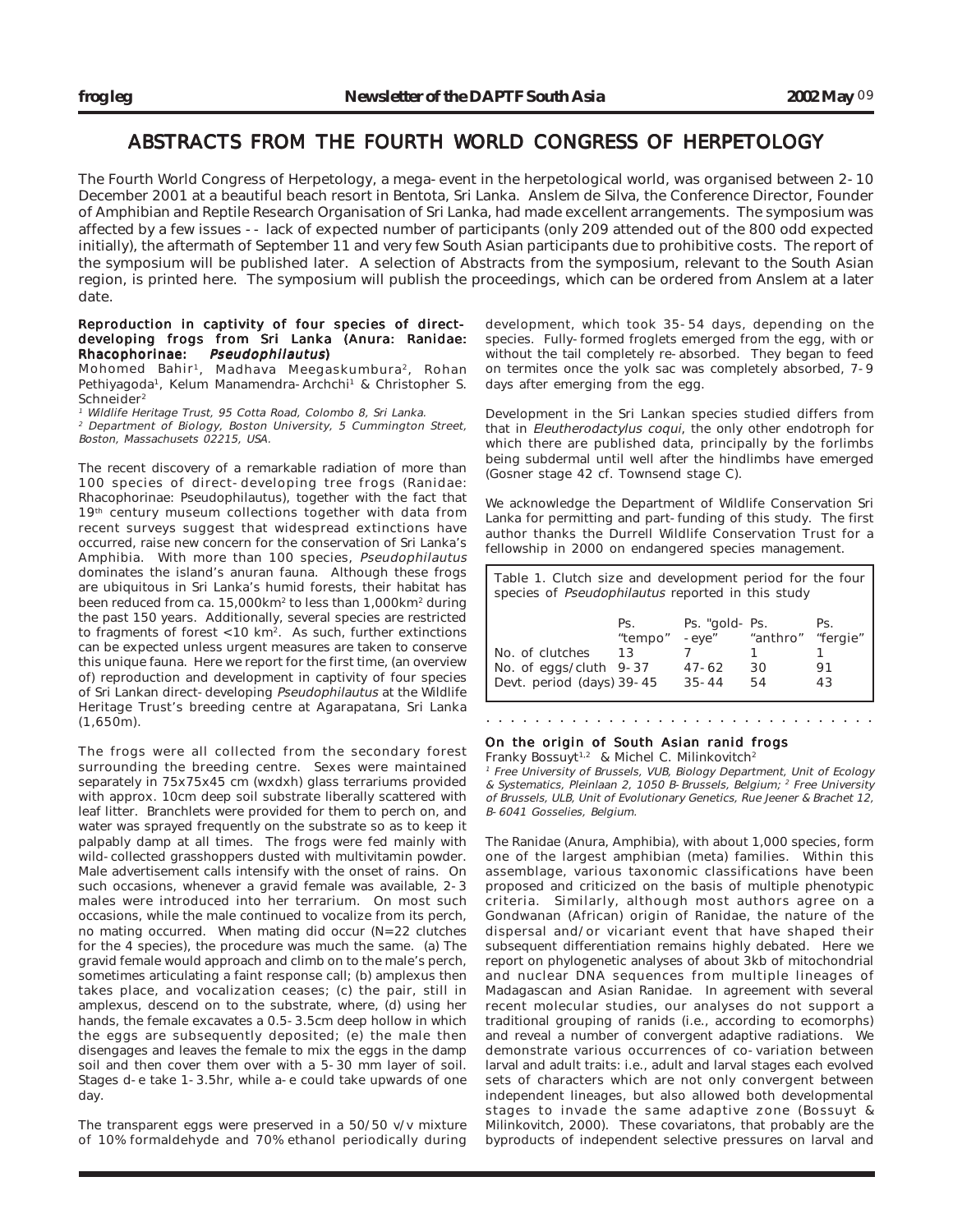# ABSTRACTS FROM THE FOURTH WORLD CONGRESS OF HERPETOLOGY

The Fourth World Congress of Herpetology, a mega-event in the herpetological world, was organised between 2-10 December 2001 at a beautiful beach resort in Bentota, Sri Lanka. Anslem de Silva, the Conference Director, Founder of Amphibian and Reptile Research Organisation of Sri Lanka, had made excellent arrangements. The symposium was affected by a few issues -- lack of expected number of participants (only 209 attended out of the 800 odd expected initially), the aftermath of September 11 and very few South Asian participants due to prohibitive costs. The report of the symposium will be published later. A selection of Abstracts from the symposium, relevant to the South Asian region, is printed here. The symposium will publish the proceedings, which can be ordered from Anslem at a later date.

## Reproduction in captivity of four species of directdeveloping frogs from Sri Lanka (Anura: Ranidae: Rhacophorinae: Pseudophilautus)

Mohomed Bahir1, Madhava Meegaskumbura2, Rohan Pethiyagoda<sup>1</sup>, Kelum Manamendra-Archchi<sup>1</sup> & Christopher S. Schneider<sup>2</sup>

Wildlife Heritage Trust, 95 Cotta Road, Colombo 8, Sri Lanka.

<sup>2</sup> Department of Biology, Boston University, 5 Cummington Street, Boston, Massachusets 02215, USA.

The recent discovery of a remarkable radiation of more than 100 species of direct-developing tree frogs (Ranidae: Rhacophorinae: Pseudophilautus), together with the fact that 19<sup>th</sup> century museum collections together with data from recent surveys suggest that widespread extinctions have occurred, raise new concern for the conservation of Sri Lanka's Amphibia. With more than 100 species, Pseudophilautus dominates the island's anuran fauna. Although these frogs are ubiquitous in Sri Lanka's humid forests, their habitat has been reduced from ca. 15,000km2 to less than 1,000km2 during the past 150 years. Additionally, several species are restricted to fragments of forest <10 km2. As such, further extinctions can be expected unless urgent measures are taken to conserve this unique fauna. Here we report for the first time, (an overview of) reproduction and development in captivity of four species of Sri Lankan direct-developing Pseudophilautus at the Wildlife Heritage Trust's breeding centre at Agarapatana, Sri Lanka (1,650m).

The frogs were all collected from the secondary forest surrounding the breeding centre. Sexes were maintained separately in 75x75x45 cm (wxdxh) glass terrariums provided with approx. 10cm deep soil substrate liberally scattered with leaf litter. Branchlets were provided for them to perch on, and water was sprayed frequently on the substrate so as to keep it palpably damp at all times. The frogs were fed mainly with wild-collected grasshoppers dusted with multivitamin powder. Male advertisement calls intensify with the onset of rains. On such occasions, whenever a gravid female was available, 2-3 males were introduced into her terrarium. On most such occasions, while the male continued to vocalize from its perch, no mating occurred. When mating did occur (N=22 clutches for the 4 species), the procedure was much the same. (a) The gravid female would approach and climb on to the male's perch, sometimes articulating a faint response call; (b) amplexus then takes place, and vocalization ceases; (c) the pair, still in amplexus, descend on to the substrate, where, (d) using her hands, the female excavates a 0.5-3.5cm deep hollow in which the eggs are subsequently deposited; (e) the male then disengages and leaves the female to mix the eggs in the damp soil and then cover them over with a 5-30 mm layer of soil. Stages d-e take 1-3.5hr, while a-e could take upwards of one day.

The transparent eggs were preserved in a 50/50 v/v mixture of 10% formaldehyde and 70% ethanol periodically during development, which took 35-54 days, depending on the species. Fully-formed froglets emerged from the egg, with or without the tail completely re-absorbed. They began to feed on termites once the yolk sac was completely absorbed, 7-9 days after emerging from the egg.

Development in the Sri Lankan species studied differs from that in Eleutherodactylus coqui, the only other endotroph for which there are published data, principally by the forlimbs being subdermal until well after the hindlimbs have emerged (Gosner stage 42 cf. Townsend stage C).

We acknowledge the Department of Wildlife Conservation Sri Lanka for permitting and part-funding of this study. The first author thanks the Durrell Wildlife Conservation Trust for a fellowship in 2000 on endangered species management.

| Table 1. Clutch size and development period for the four<br>species of Pseudophilautus reported in this study |                      |                                                   |                      |                             |  |
|---------------------------------------------------------------------------------------------------------------|----------------------|---------------------------------------------------|----------------------|-----------------------------|--|
| No. of clutches<br>No. of eggs/cluth 9-37<br>Devt. period (days) 39-45                                        | Ps.<br>"tempo"<br>13 | Ps. "gold- Ps.<br>-eye"<br>$47 - 62$<br>$35 - 44$ | "anthro"<br>30<br>54 | Ps.<br>"fergie"<br>91<br>43 |  |

## On the origin of South Asian ranid frogs Franky Bossuyt<sup>1,2</sup> & Michel C. Milinkovitch<sup>2</sup>

<sup>1</sup> Free University of Brussels, VUB, Biology Department, Unit of Ecology & Systematics, Pleinlaan 2, 1050 B-Brussels, Belgium; 2 Free University of Brussels, ULB, Unit of Evolutionary Genetics, Rue Jeener & Brachet 12, B-6041 Gosselies, Belgium.

○○○○○○○○○○○○○○○○○○○○○○○○○○○○○○○○

The Ranidae (Anura, Amphibia), with about 1,000 species, form one of the largest amphibian (meta) families. Within this assemblage, various taxonomic classifications have been proposed and criticized on the basis of multiple phenotypic criteria. Similarly, although most authors agree on a Gondwanan (African) origin of Ranidae, the nature of the dispersal and/or vicariant event that have shaped their subsequent differentiation remains highly debated. Here we report on phylogenetic analyses of about 3kb of mitochondrial and nuclear DNA sequences from multiple lineages of Madagascan and Asian Ranidae. In agreement with several recent molecular studies, our analyses do not support a traditional grouping of ranids (i.e., according to ecomorphs) and reveal a number of convergent adaptive radiations. We demonstrate various occurrences of co-variation between larval and adult traits: i.e., adult and larval stages each evolved sets of characters which are not only convergent between independent lineages, but also allowed both developmental stages to invade the same adaptive zone (Bossuyt & Milinkovitch, 2000). These covariatons, that probably are the byproducts of independent selective pressures on larval and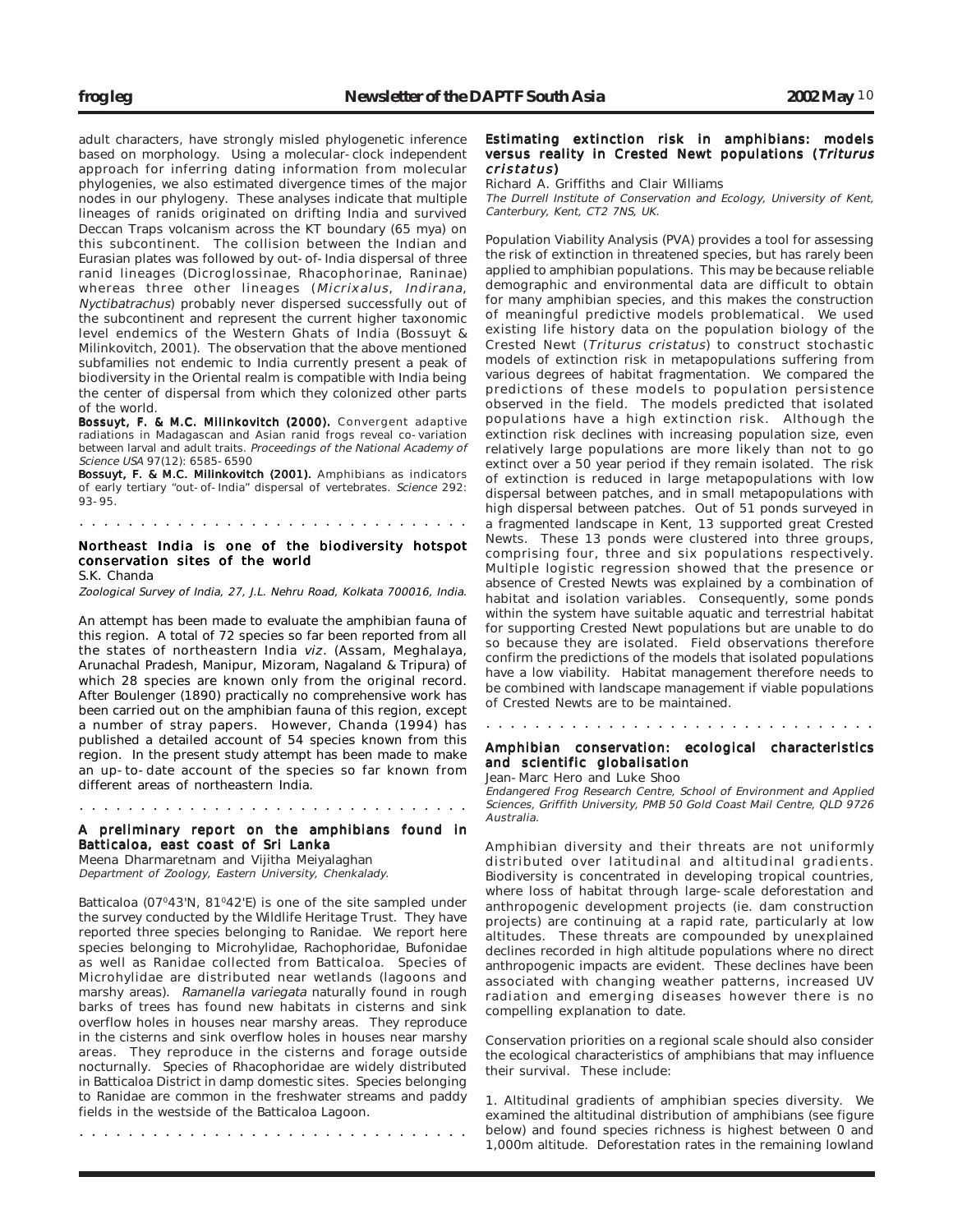adult characters, have strongly misled phylogenetic inference based on morphology. Using a molecular-clock independent approach for inferring dating information from molecular phylogenies, we also estimated divergence times of the major nodes in our phylogeny. These analyses indicate that multiple lineages of ranids originated on drifting India and survived Deccan Traps volcanism across the KT boundary (65 mya) on this subcontinent. The collision between the Indian and Eurasian plates was followed by out-of-India dispersal of three ranid lineages (Dicroglossinae, Rhacophorinae, Raninae) whereas three other lineages (Micrixalus, Indirana, Nyctibatrachus) probably never dispersed successfully out of the subcontinent and represent the current higher taxonomic level endemics of the Western Ghats of India (Bossuyt & Milinkovitch, 2001). The observation that the above mentioned subfamilies not endemic to India currently present a peak of biodiversity in the Oriental realm is compatible with India being the center of dispersal from which they colonized other parts of the world.

Bossuyt, F. & M.C. Milinkovitch (2000). Convergent adaptive radiations in Madagascan and Asian ranid frogs reveal co-variation between larval and adult traits. Proceedings of the National Academy of Science USA 97(12): 6585-6590

Bossuyt, F. & M.C. Milinkovitch (2001). Amphibians as indicators of early tertiary "out-of-India" dispersal of vertebrates. Science 292: 93-95.

# Northeast India is one of the biodiversity hotspot conservation sites of the world

○○○○○○○○○○○○○○○○○○○○○○○○○○○○○○○○

S.K. Chanda

Zoological Survey of India, 27, J.L. Nehru Road, Kolkata 700016, India.

An attempt has been made to evaluate the amphibian fauna of this region. A total of 72 species so far been reported from all the states of northeastern India viz. (Assam, Meghalaya, Arunachal Pradesh, Manipur, Mizoram, Nagaland & Tripura) of which 28 species are known only from the original record. After Boulenger (1890) practically no comprehensive work has been carried out on the amphibian fauna of this region, except a number of stray papers. However, Chanda (1994) has published a detailed account of 54 species known from this region. In the present study attempt has been made to make an up-to-date account of the species so far known from different areas of northeastern India.

#### ○○○○○○○○○○○○○○○○○○○○○○○○○○○○○○○○

#### A preliminary report on the amphibians found in Batticaloa, east coast of Sri Lanka

Meena Dharmaretnam and Vijitha Meiyalaghan Department of Zoology, Eastern University, Chenkalady.

Batticaloa (07°43'N, 81°42'E) is one of the site sampled under the survey conducted by the Wildlife Heritage Trust. They have reported three species belonging to Ranidae. We report here species belonging to Microhylidae, Rachophoridae, Bufonidae as well as Ranidae collected from Batticaloa. Species of Microhylidae are distributed near wetlands (lagoons and marshy areas). Ramanella variegata naturally found in rough barks of trees has found new habitats in cisterns and sink overflow holes in houses near marshy areas. They reproduce in the cisterns and sink overflow holes in houses near marshy areas. They reproduce in the cisterns and forage outside nocturnally. Species of Rhacophoridae are widely distributed in Batticaloa District in damp domestic sites. Species belonging to Ranidae are common in the freshwater streams and paddy fields in the westside of the Batticaloa Lagoon.

○○○○○○○○○○○○○○○○○○○○○○○○○○○○○○○○

#### Estimating extinction risk in amphibians: models versus reality in Crested Newt populations (Triturus  $cristatus$

Richard A. Griffiths and Clair Williams

The Durrell Institute of Conservation and Ecology, University of Kent, Canterbury, Kent, CT2 7NS, UK.

Population Viability Analysis (PVA) provides a tool for assessing the risk of extinction in threatened species, but has rarely been applied to amphibian populations. This may be because reliable demographic and environmental data are difficult to obtain for many amphibian species, and this makes the construction of meaningful predictive models problematical. We used existing life history data on the population biology of the Crested Newt (Triturus cristatus) to construct stochastic models of extinction risk in metapopulations suffering from various degrees of habitat fragmentation. We compared the predictions of these models to population persistence observed in the field. The models predicted that isolated populations have a high extinction risk. Although the extinction risk declines with increasing population size, even relatively large populations are more likely than not to go extinct over a 50 year period if they remain isolated. The risk of extinction is reduced in large metapopulations with low dispersal between patches, and in small metapopulations with high dispersal between patches. Out of 51 ponds surveyed in a fragmented landscape in Kent, 13 supported great Crested Newts. These 13 ponds were clustered into three groups, comprising four, three and six populations respectively. Multiple logistic regression showed that the presence or absence of Crested Newts was explained by a combination of habitat and isolation variables. Consequently, some ponds within the system have suitable aquatic and terrestrial habitat for supporting Crested Newt populations but are unable to do so because they are isolated. Field observations therefore confirm the predictions of the models that isolated populations have a low viability. Habitat management therefore needs to be combined with landscape management if viable populations of Crested Newts are to be maintained.

○○○○○○○○○○○○○○○○○○○○○○○○○○○○○○○○

## Amphibian conservation: ecological characteristics and scientific globalisation

Jean-Marc Hero and Luke Shoo

Endangered Frog Research Centre, School of Environment and Applied Sciences, Griffith University, PMB 50 Gold Coast Mail Centre, QLD 9726 Australia.

Amphibian diversity and their threats are not uniformly distributed over latitudinal and altitudinal gradients. Biodiversity is concentrated in developing tropical countries, where loss of habitat through large-scale deforestation and anthropogenic development projects (ie. dam construction projects) are continuing at a rapid rate, particularly at low altitudes. These threats are compounded by unexplained declines recorded in high altitude populations where no direct anthropogenic impacts are evident. These declines have been associated with changing weather patterns, increased UV radiation and emerging diseases however there is no compelling explanation to date.

Conservation priorities on a regional scale should also consider the ecological characteristics of amphibians that may influence their survival. These include:

1. Altitudinal gradients of amphibian species diversity. We examined the altitudinal distribution of amphibians (see figure below) and found species richness is highest between 0 and 1,000m altitude. Deforestation rates in the remaining lowland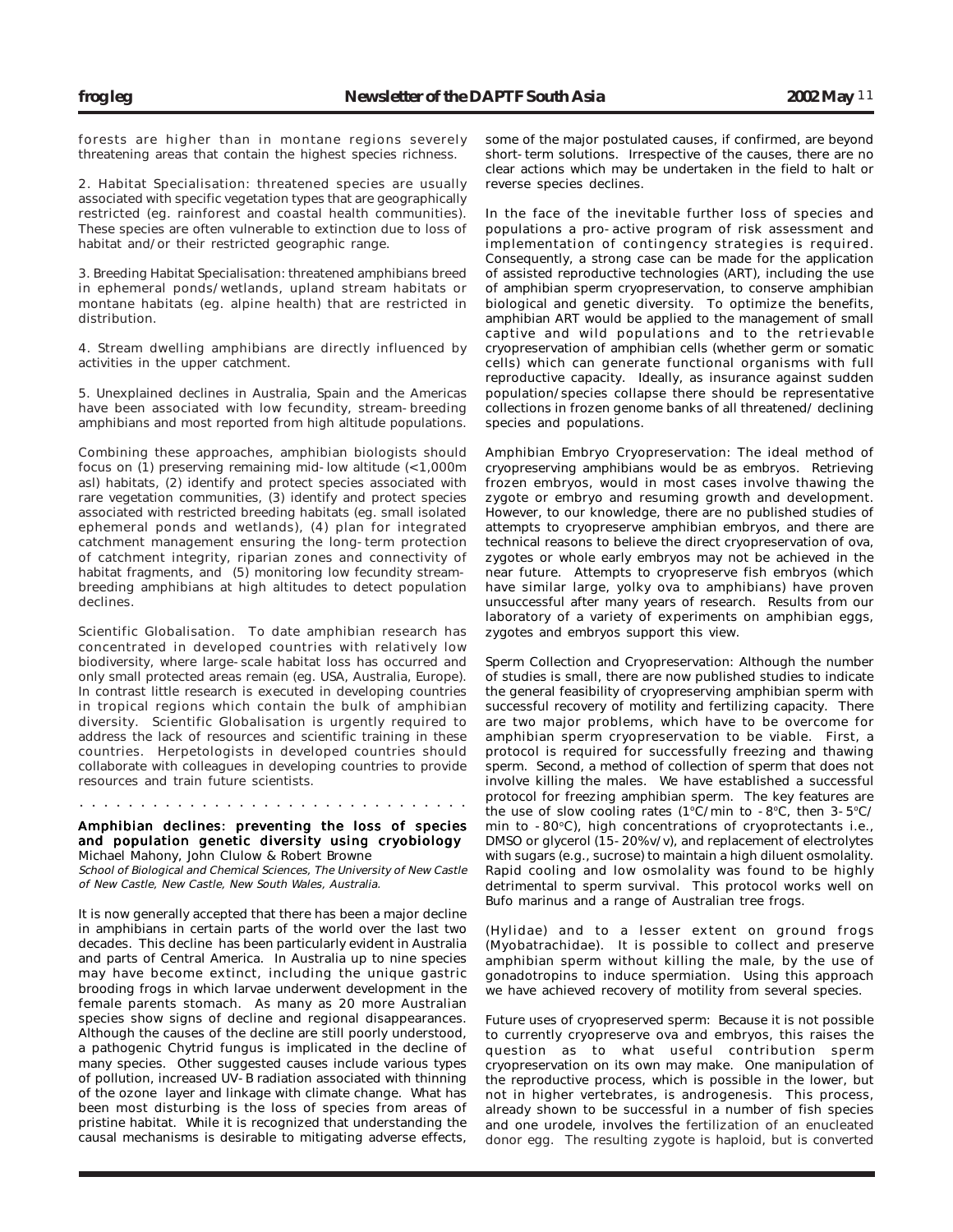forests are higher than in montane regions severely threatening areas that contain the highest species richness.

2. Habitat Specialisation: threatened species are usually associated with specific vegetation types that are geographically restricted (eg. rainforest and coastal health communities). These species are often vulnerable to extinction due to loss of habitat and/or their restricted geographic range.

3. Breeding Habitat Specialisation: threatened amphibians breed in ephemeral ponds/wetlands, upland stream habitats or montane habitats (eg. alpine health) that are restricted in distribution.

4. Stream dwelling amphibians are directly influenced by activities in the upper catchment.

5. Unexplained declines in Australia, Spain and the Americas have been associated with low fecundity, stream-breeding amphibians and most reported from high altitude populations.

Combining these approaches, amphibian biologists should focus on (1) preserving remaining mid-low altitude (<1,000m asl) habitats, (2) identify and protect species associated with rare vegetation communities, (3) identify and protect species associated with restricted breeding habitats (eg. small isolated ephemeral ponds and wetlands), (4) plan for integrated catchment management ensuring the long-term protection of catchment integrity, riparian zones and connectivity of habitat fragments, and (5) monitoring low fecundity streambreeding amphibians at high altitudes to detect population declines.

Scientific Globalisation. To date amphibian research has concentrated in developed countries with relatively low biodiversity, where large-scale habitat loss has occurred and only small protected areas remain (eg. USA, Australia, Europe). In contrast little research is executed in developing countries in tropical regions which contain the bulk of amphibian diversity. Scientific Globalisation is urgently required to address the lack of resources and scientific training in these countries. Herpetologists in developed countries should collaborate with colleagues in developing countries to provide resources and train future scientists.

#### ○○○○○○○○○○○○○○○○○○○○○○○○○○○○○○○○

#### Amphibian declines: preventing the loss of species and population genetic diversity using cryobiology Michael Mahony, John Clulow & Robert Browne

School of Biological and Chemical Sciences, The University of New Castle of New Castle, New Castle, New South Wales, Australia.

It is now generally accepted that there has been a major decline in amphibians in certain parts of the world over the last two decades. This decline has been particularly evident in Australia and parts of Central America. In Australia up to nine species may have become extinct, including the unique gastric brooding frogs in which larvae underwent development in the female parents stomach. As many as 20 more Australian species show signs of decline and regional disappearances. Although the causes of the decline are still poorly understood, a pathogenic Chytrid fungus is implicated in the decline of many species. Other suggested causes include various types of pollution, increased UV-B radiation associated with thinning of the ozone layer and linkage with climate change. What has been most disturbing is the loss of species from areas of pristine habitat. While it is recognized that understanding the causal mechanisms is desirable to mitigating adverse effects, some of the major postulated causes, if confirmed, are beyond short-term solutions. Irrespective of the causes, there are no clear actions which may be undertaken in the field to halt or reverse species declines.

In the face of the inevitable further loss of species and populations a pro-active program of risk assessment and implementation of contingency strategies is required. Consequently, a strong case can be made for the application of assisted reproductive technologies (ART), including the use of amphibian sperm cryopreservation, to conserve amphibian biological and genetic diversity. To optimize the benefits, amphibian ART would be applied to the management of small captive and wild populations and to the retrievable cryopreservation of amphibian cells (whether germ or somatic cells) which can generate functional organisms with full reproductive capacity. Ideally, as insurance against sudden population/species collapse there should be representative collections in frozen genome banks of all threatened/ declining species and populations.

Amphibian Embryo Cryopreservation: The ideal method of cryopreserving amphibians would be as embryos. Retrieving frozen embryos, would in most cases involve thawing the zygote or embryo and resuming growth and development. However, to our knowledge, there are no published studies of attempts to cryopreserve amphibian embryos, and there are technical reasons to believe the direct cryopreservation of ova, zygotes or whole early embryos may not be achieved in the near future. Attempts to cryopreserve fish embryos (which have similar large, yolky ova to amphibians) have proven unsuccessful after many years of research. Results from our laboratory of a variety of experiments on amphibian eggs, zygotes and embryos support this view.

Sperm Collection and Cryopreservation: Although the number of studies is small, there are now published studies to indicate the general feasibility of cryopreserving amphibian sperm with successful recovery of motility and fertilizing capacity. There are two major problems, which have to be overcome for amphibian sperm cryopreservation to be viable. First, a protocol is required for successfully freezing and thawing sperm. Second, a method of collection of sperm that does not involve killing the males. We have established a successful protocol for freezing amphibian sperm. The key features are the use of slow cooling rates (1°C/min to -8°C, then  $3-5$ °C/ min to  $-80^{\circ}$ C), high concentrations of cryoprotectants i.e., DMSO or glycerol (15-20% v/v), and replacement of electrolytes with sugars (e.g., sucrose) to maintain a high diluent osmolality. Rapid cooling and low osmolality was found to be highly detrimental to sperm survival. This protocol works well on Bufo marinus and a range of Australian tree frogs.

(Hylidae) and to a lesser extent on ground frogs (Myobatrachidae). It is possible to collect and preserve amphibian sperm without killing the male, by the use of gonadotropins to induce spermiation. Using this approach we have achieved recovery of motility from several species.

Future uses of cryopreserved sperm: Because it is not possible to currently cryopreserve ova and embryos, this raises the question as to what useful contribution sperm cryopreservation on its own may make. One manipulation of the reproductive process, which is possible in the lower, but not in higher vertebrates, is androgenesis. This process, already shown to be successful in a number of fish species and one urodele, involves the fertilization of an enucleated donor egg. The resulting zygote is haploid, but is converted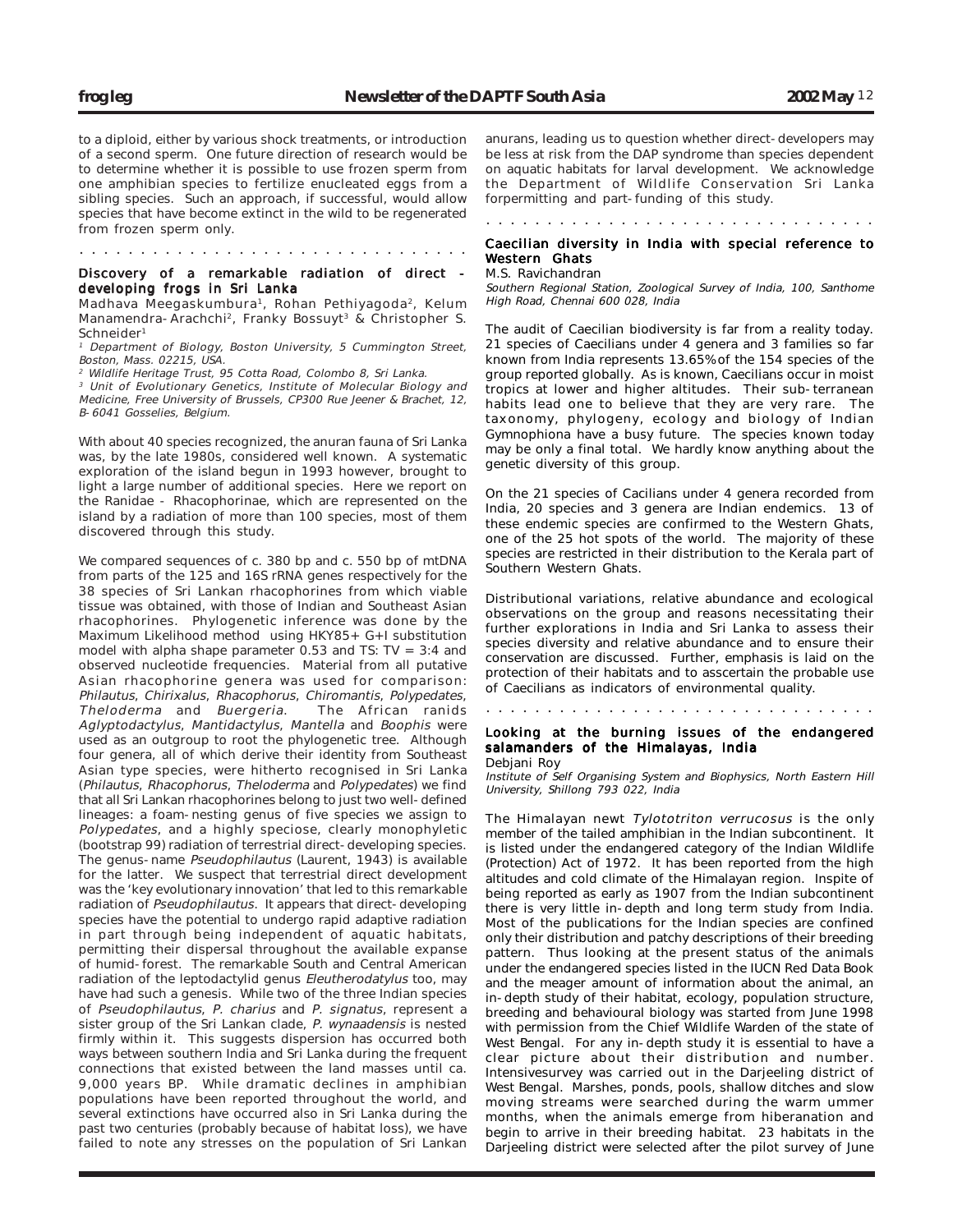to a diploid, either by various shock treatments, or introduction of a second sperm. One future direction of research would be to determine whether it is possible to use frozen sperm from one amphibian species to fertilize enucleated eggs from a sibling species. Such an approach, if successful, would allow species that have become extinct in the wild to be regenerated from frozen sperm only.

## Discovery of a remarkable radiation of direct developing frogs in Sri Lanka ○○○○○○○○○○○○○○○○○○○○○○○○○○○○○○○○

Madhava Meegaskumbura<sup>1</sup>, Rohan Pethiyagoda<sup>2</sup>, Kelum Manamendra-Arachchi<sup>2</sup>, Franky Bossuyt<sup>3</sup> & Christopher S. Schneider<sup>1</sup>

<sup>1</sup> Department of Biology, Boston University, 5 Cummington Street, Boston, Mass. 02215, USA.

2 Wildlife Heritage Trust, 95 Cotta Road, Colombo 8, Sri Lanka.

<sup>3</sup> Unit of Evolutionary Genetics, Institute of Molecular Biology and Medicine, Free University of Brussels, CP300 Rue Jeener & Brachet, 12, B-6041 Gosselies, Belgium.

With about 40 species recognized, the anuran fauna of Sri Lanka was, by the late 1980s, considered well known. A systematic exploration of the island begun in 1993 however, brought to light a large number of additional species. Here we report on the Ranidae - Rhacophorinae, which are represented on the island by a radiation of more than 100 species, most of them discovered through this study.

We compared sequences of c. 380 bp and c. 550 bp of mtDNA from parts of the 125 and 16S rRNA genes respectively for the 38 species of Sri Lankan rhacophorines from which viable tissue was obtained, with those of Indian and Southeast Asian rhacophorines. Phylogenetic inference was done by the Maximum Likelihood method using HKY85+ G+I substitution model with alpha shape parameter 0.53 and TS:  $TV = 3:4$  and observed nucleotide frequencies. Material from all putative Asian rhacophorine genera was used for comparison: Philautus, Chirixalus, Rhacophorus, Chiromantis, Polypedates,<br>Theloderma and Buergeria. The African ranids Theloderma and Buergeria. Aglyptodactylus, Mantidactylus, Mantella and Boophis were used as an outgroup to root the phylogenetic tree. Although four genera, all of which derive their identity from Southeast Asian type species, were hitherto recognised in Sri Lanka (Philautus, Rhacophorus, Theloderma and Polypedates) we find that all Sri Lankan rhacophorines belong to just two well-defined lineages: a foam-nesting genus of five species we assign to Polypedates, and a highly speciose, clearly monophyletic (bootstrap 99) radiation of terrestrial direct-developing species. The genus-name Pseudophilautus (Laurent, 1943) is available for the latter. We suspect that terrestrial direct development was the 'key evolutionary innovation' that led to this remarkable radiation of Pseudophilautus. It appears that direct-developing species have the potential to undergo rapid adaptive radiation in part through being independent of aquatic habitats, permitting their dispersal throughout the available expanse of humid-forest. The remarkable South and Central American radiation of the leptodactylid genus Eleutherodatylus too, may have had such a genesis. While two of the three Indian species of Pseudophilautus, P. charius and P. signatus, represent a sister group of the Sri Lankan clade, P. wynaadensis is nested firmly within it. This suggests dispersion has occurred both ways between southern India and Sri Lanka during the frequent connections that existed between the land masses until ca. 9,000 years BP. While dramatic declines in amphibian populations have been reported throughout the world, and several extinctions have occurred also in Sri Lanka during the past two centuries (probably because of habitat loss), we have failed to note any stresses on the population of Sri Lankan

anurans, leading us to question whether direct-developers may be less at risk from the DAP syndrome than species dependent on aquatic habitats for larval development. We acknowledge the Department of Wildlife Conservation Sri Lanka forpermitting and part-funding of this study.

#### ○○○○○○○○○○○○○○○○○○○○○○○○○○○○○○○○

#### Caecilian diversity in India with special reference to Western Ghats

#### M.S. Ravichandran

Southern Regional Station, Zoological Survey of India, 100, Santhome High Road, Chennai 600 028, India

The audit of Caecilian biodiversity is far from a reality today. 21 species of Caecilians under 4 genera and 3 families so far known from India represents 13.65% of the 154 species of the group reported globally. As is known, Caecilians occur in moist tropics at lower and higher altitudes. Their sub-terranean habits lead one to believe that they are very rare. The taxonomy, phylogeny, ecology and biology of Indian Gymnophiona have a busy future. The species known today may be only a final total. We hardly know anything about the genetic diversity of this group.

On the 21 species of Cacilians under 4 genera recorded from India, 20 species and 3 genera are Indian endemics. 13 of these endemic species are confirmed to the Western Ghats, one of the 25 hot spots of the world. The majority of these species are restricted in their distribution to the Kerala part of Southern Western Ghats.

Distributional variations, relative abundance and ecological observations on the group and reasons necessitating their further explorations in India and Sri Lanka to assess their species diversity and relative abundance and to ensure their conservation are discussed. Further, emphasis is laid on the protection of their habitats and to asscertain the probable use of Caecilians as indicators of environmental quality.

○○○○○○○○○○○○○○○○○○○○○○○○○○○○○○○○

#### Looking at the burning issues of the endangered salamanders of the Himalayas, India Debjani Roy

Institute of Self Organising System and Biophysics, North Eastern Hill University, Shillong 793 022, India

The Himalayan newt Tylototriton verrucosus is the only member of the tailed amphibian in the Indian subcontinent. It is listed under the endangered category of the Indian Wildlife (Protection) Act of 1972. It has been reported from the high altitudes and cold climate of the Himalayan region. Inspite of being reported as early as 1907 from the Indian subcontinent there is very little in-depth and long term study from India. Most of the publications for the Indian species are confined only their distribution and patchy descriptions of their breeding pattern. Thus looking at the present status of the animals under the endangered species listed in the IUCN Red Data Book and the meager amount of information about the animal, an in-depth study of their habitat, ecology, population structure, breeding and behavioural biology was started from June 1998 with permission from the Chief Wildlife Warden of the state of West Bengal. For any in-depth study it is essential to have a clear picture about their distribution and number. Intensivesurvey was carried out in the Darjeeling district of West Bengal. Marshes, ponds, pools, shallow ditches and slow moving streams were searched during the warm ummer months, when the animals emerge from hiberanation and begin to arrive in their breeding habitat. 23 habitats in the Darjeeling district were selected after the pilot survey of June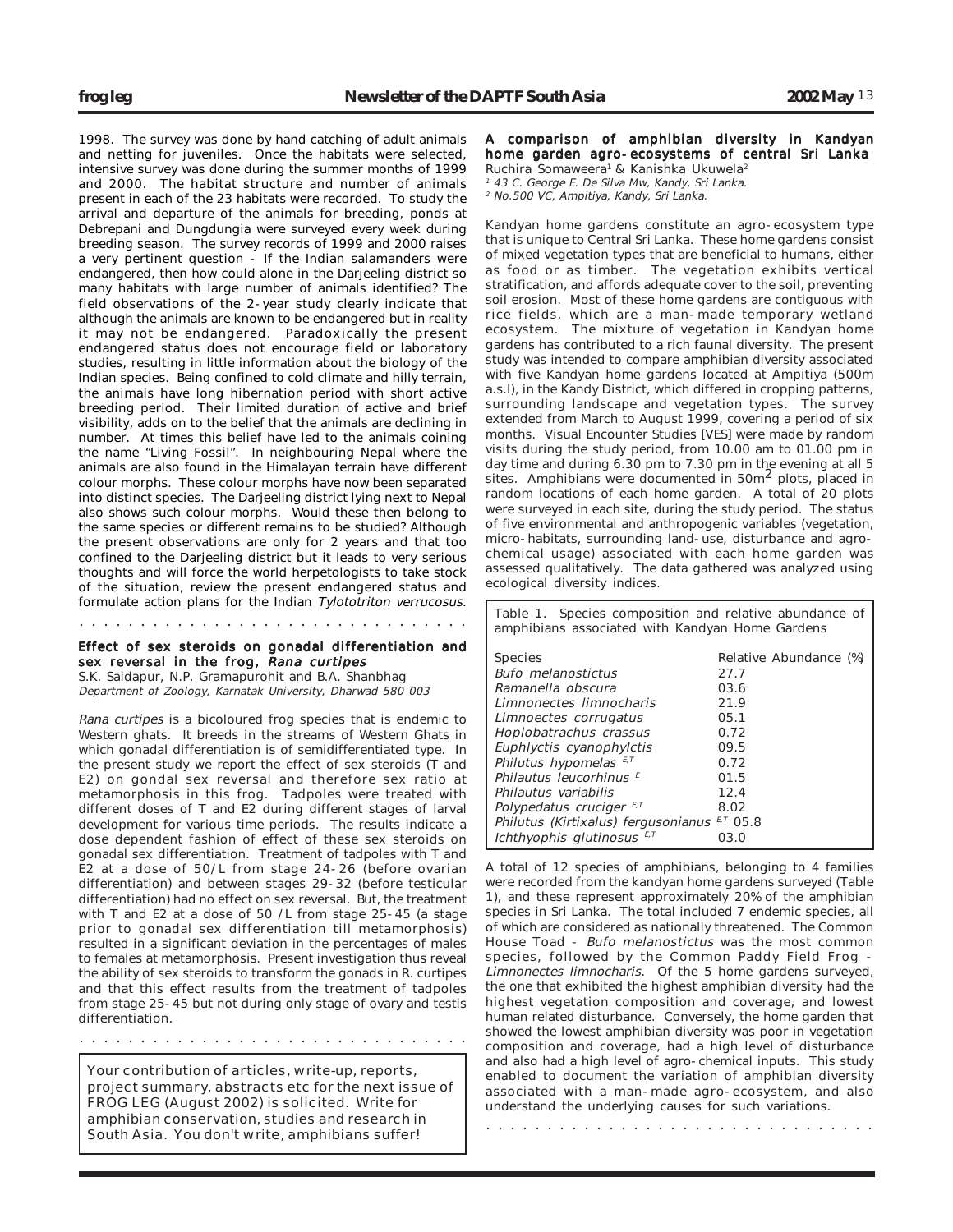1998. The survey was done by hand catching of adult animals and netting for juveniles. Once the habitats were selected, intensive survey was done during the summer months of 1999 and 2000. The habitat structure and number of animals present in each of the 23 habitats were recorded. To study the arrival and departure of the animals for breeding, ponds at Debrepani and Dungdungia were surveyed every week during breeding season. The survey records of 1999 and 2000 raises a very pertinent question - If the Indian salamanders were endangered, then how could alone in the Darjeeling district so many habitats with large number of animals identified? The field observations of the 2-year study clearly indicate that although the animals are known to be endangered but in reality it may not be endangered. Paradoxically the present endangered status does not encourage field or laboratory studies, resulting in little information about the biology of the Indian species. Being confined to cold climate and hilly terrain, the animals have long hibernation period with short active breeding period. Their limited duration of active and brief visibility, adds on to the belief that the animals are declining in number. At times this belief have led to the animals coining the name "Living Fossil". In neighbouring Nepal where the animals are also found in the Himalayan terrain have different colour morphs. These colour morphs have now been separated into distinct species. The Darjeeling district lying next to Nepal also shows such colour morphs. Would these then belong to the same species or different remains to be studied? Although the present observations are only for 2 years and that too confined to the Darjeeling district but it leads to very serious thoughts and will force the world herpetologists to take stock of the situation, review the present endangered status and formulate action plans for the Indian Tylototriton verrucosus.

#### Effect of sex steroids on gonadal differentiation and sex reversal in the frog, Rana curtipes

○○○○○○○○○○○○○○○○○○○○○○○○○○○○○○○○

S.K. Saidapur, N.P. Gramapurohit and B.A. Shanbhag Department of Zoology, Karnatak University, Dharwad 580 003

Rana curtipes is a bicoloured frog species that is endemic to Western ghats. It breeds in the streams of Western Ghats in which gonadal differentiation is of semidifferentiated type. In the present study we report the effect of sex steroids (T and E2) on gondal sex reversal and therefore sex ratio at metamorphosis in this frog. Tadpoles were treated with different doses of T and E2 during different stages of larval development for various time periods. The results indicate a dose dependent fashion of effect of these sex steroids on gonadal sex differentiation. Treatment of tadpoles with T and E2 at a dose of 50/L from stage 24-26 (before ovarian differentiation) and between stages 29-32 (before testicular differentiation) had no effect on sex reversal. But, the treatment with T and E2 at a dose of 50 /L from stage 25-45 (a stage prior to gonadal sex differentiation till metamorphosis) resulted in a significant deviation in the percentages of males to females at metamorphosis. Present investigation thus reveal the ability of sex steroids to transform the gonads in R. curtipes and that this effect results from the treatment of tadpoles from stage 25-45 but not during only stage of ovary and testis differentiation.

Your contribution of articles, write-up, reports, project summary, abstracts etc for the next issue of FROG LEG (August 2002) is solicited. Write for amphibian conservation, studies and research in South Asia. You don't write, amphibians suffer!

○○○○○○○○○○○○○○○○○○○○○○○○○○○○○○○○

A comparison of amphibian diversity in Kandyan home garden agro-ecosystems of central Sri Lanka Ruchira Somaweera<sup>1</sup> & Kanishka Ukuwela<sup>2</sup>

<sup>1</sup> 43 C. George E. De Silva Mw, Kandy, Sri Lanka.

<sup>2</sup> No.500 VC, Ampitiya, Kandy, Sri Lanka.

Kandyan home gardens constitute an agro-ecosystem type that is unique to Central Sri Lanka. These home gardens consist of mixed vegetation types that are beneficial to humans, either as food or as timber. The vegetation exhibits vertical stratification, and affords adequate cover to the soil, preventing soil erosion. Most of these home gardens are contiguous with rice fields, which are a man-made temporary wetland ecosystem. The mixture of vegetation in Kandyan home gardens has contributed to a rich faunal diversity. The present study was intended to compare amphibian diversity associated with five Kandyan home gardens located at Ampitiya (500m a.s.l), in the Kandy District, which differed in cropping patterns, surrounding landscape and vegetation types. The survey extended from March to August 1999, covering a period of six months. Visual Encounter Studies [VES] were made by random visits during the study period, from 10.00 am to 01.00 pm in day time and during 6.30 pm to 7.30 pm in the evening at all 5 sites. Amphibians were documented in 50m<sup>2</sup> plots, placed in random locations of each home garden. A total of 20 plots were surveyed in each site, during the study period. The status of five environmental and anthropogenic variables (vegetation, micro-habitats, surrounding land-use, disturbance and agrochemical usage) associated with each home garden was assessed qualitatively. The data gathered was analyzed using ecological diversity indices.

Table 1. Species composition and relative abundance of amphibians associated with Kandyan Home Gardens

| <b>Species</b>                      | Relative Abundance (%) |
|-------------------------------------|------------------------|
| Bufo melanostictus                  | 27.7                   |
| Ramanella obscura                   | 03.6                   |
| Limnonectes limnocharis             | 21.9                   |
| Limnoectes corrugatus               | 05.1                   |
| Hoplobatrachus crassus              | 0.72                   |
| Euphlyctis cyanophylctis            | 09.5                   |
| Philutus hypomelas E,T              | 0.72                   |
| Philautus leucorhinus <sup>E</sup>  | 01.5                   |
| Philautus variabilis                | 12.4                   |
| Polypedatus cruciger $E, T$         | 8.02                   |
| Philutus (Kirtixalus) fergusonianus | $E, T$ 05.8            |
| Ichthyophis glutinosus $E,T$        | 03.0                   |

A total of 12 species of amphibians, belonging to 4 families were recorded from the kandyan home gardens surveyed (Table 1), and these represent approximately 20% of the amphibian species in Sri Lanka. The total included 7 endemic species, all of which are considered as nationally threatened. The Common House Toad - Bufo melanostictus was the most common species, followed by the Common Paddy Field Frog - Limnonectes limnocharis. Of the 5 home gardens surveyed, the one that exhibited the highest amphibian diversity had the highest vegetation composition and coverage, and lowest human related disturbance. Conversely, the home garden that showed the lowest amphibian diversity was poor in vegetation composition and coverage, had a high level of disturbance and also had a high level of agro-chemical inputs. This study enabled to document the variation of amphibian diversity associated with a man-made agro-ecosystem, and also understand the underlying causes for such variations.

○○○○○○○○○○○○○○○○○○○○○○○○○○○○○○○○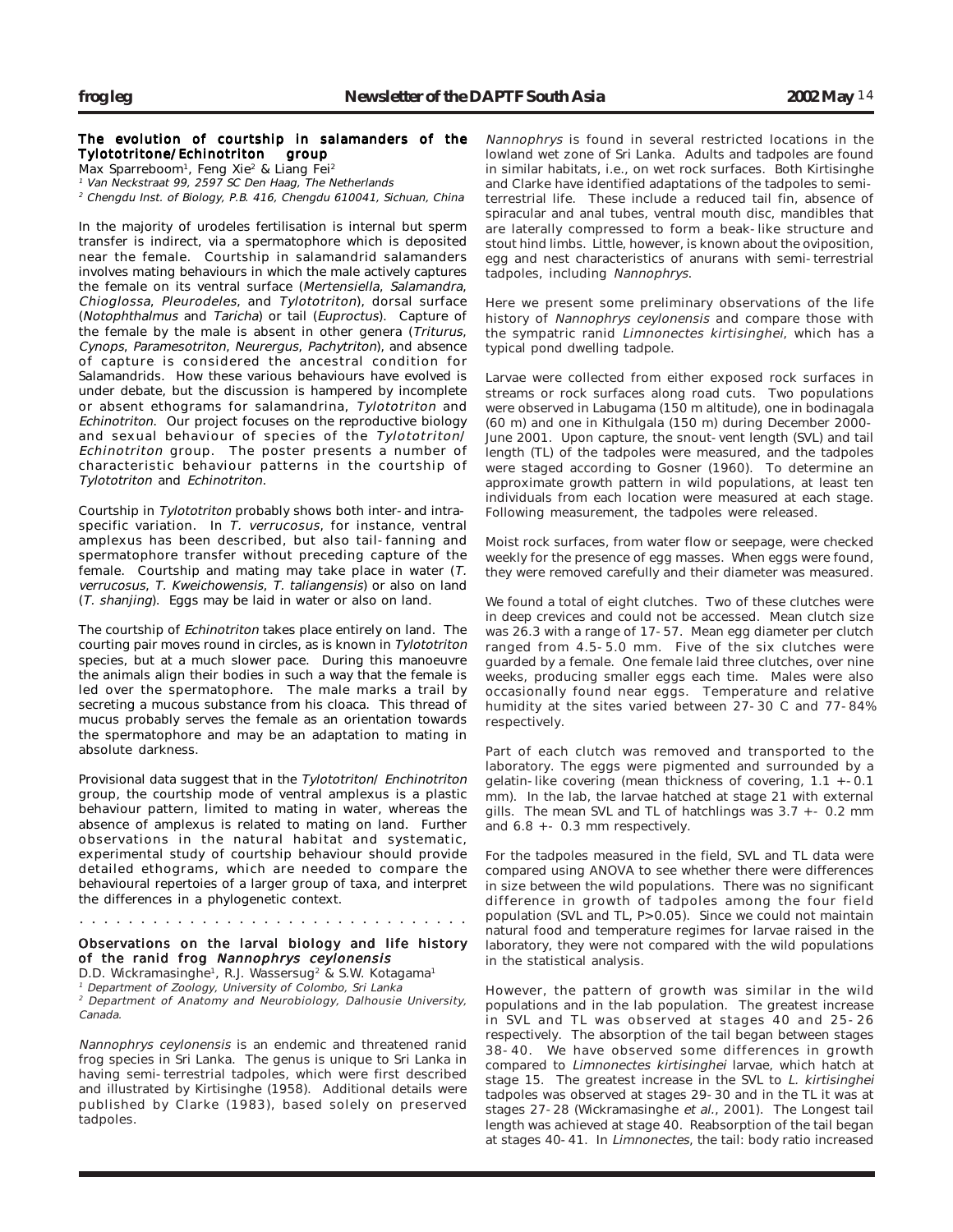## The evolution of courtship in salamanders of the Tylototritone/Echinotriton group

Max Sparreboom<sup>1</sup>, Feng Xie<sup>2</sup> & Liang Fei<sup>2</sup>

<sup>1</sup> Van Neckstraat 99, 2597 SC Den Haag, The Netherlands <sup>2</sup> Chengdu Inst. of Biology, P.B. 416, Chengdu 610041, Sichuan, China

In the majority of urodeles fertilisation is internal but sperm transfer is indirect, via a spermatophore which is deposited near the female. Courtship in salamandrid salamanders involves mating behaviours in which the male actively captures the female on its ventral surface (Mertensiella, Salamandra, Chioglossa, Pleurodeles, and Tylototriton), dorsal surface (Notophthalmus and Taricha) or tail (Euproctus). Capture of the female by the male is absent in other genera (Triturus, Cynops, Paramesotriton, Neurergus, Pachytriton), and absence of capture is considered the ancestral condition for Salamandrids. How these various behaviours have evolved is under debate, but the discussion is hampered by incomplete or absent ethograms for salamandrina, Tylototriton and Echinotriton. Our project focuses on the reproductive biology and sexual behaviour of species of the Tylototriton/ Echinotriton group. The poster presents a number of characteristic behaviour patterns in the courtship of Tylototriton and Echinotriton.

Courtship in Tylototriton probably shows both inter-and intraspecific variation. In T. verrucosus, for instance, ventral amplexus has been described, but also tail-fanning and spermatophore transfer without preceding capture of the female. Courtship and mating may take place in water (T. verrucosus, T. Kweichowensis, T. taliangensis) or also on land (T. shanjing). Eggs may be laid in water or also on land.

The courtship of Echinotriton takes place entirely on land. The courting pair moves round in circles, as is known in Tylototriton species, but at a much slower pace. During this manoeuvre the animals align their bodies in such a way that the female is led over the spermatophore. The male marks a trail by secreting a mucous substance from his cloaca. This thread of mucus probably serves the female as an orientation towards the spermatophore and may be an adaptation to mating in absolute darkness.

Provisional data suggest that in the Tylototriton/ Enchinotriton group, the courtship mode of ventral amplexus is a plastic behaviour pattern, limited to mating in water, whereas the absence of amplexus is related to mating on land. Further observations in the natural habitat and systematic, experimental study of courtship behaviour should provide detailed ethograms, which are needed to compare the behavioural repertoies of a larger group of taxa, and interpret the differences in a phylogenetic context.

## Observations on the larval biology and life history of the ranid frog Nannophrys ceylonensis

○○○○○○○○○○○○○○○○○○○○○○○○○○○○○○○○

D.D. Wickramasinghe<sup>1</sup>, R.J. Wassersug<sup>2</sup> & S.W. Kotagama<sup>1</sup> <sup>1</sup> Department of Zoology, University of Colombo, Sri Lanka <sup>2</sup> Department of Anatomy and Neurobiology, Dalhousie University, Canada.

Nannophrys ceylonensis is an endemic and threatened ranid frog species in Sri Lanka. The genus is unique to Sri Lanka in having semi-terrestrial tadpoles, which were first described and illustrated by Kirtisinghe (1958). Additional details were published by Clarke (1983), based solely on preserved tadpoles.

Nannophrys is found in several restricted locations in the lowland wet zone of Sri Lanka. Adults and tadpoles are found in similar habitats, i.e., on wet rock surfaces. Both Kirtisinghe and Clarke have identified adaptations of the tadpoles to semiterrestrial life. These include a reduced tail fin, absence of spiracular and anal tubes, ventral mouth disc, mandibles that are laterally compressed to form a beak-like structure and stout hind limbs. Little, however, is known about the oviposition, egg and nest characteristics of anurans with semi-terrestrial tadpoles, including Nannophrys.

Here we present some preliminary observations of the life history of Nannophrys ceylonensis and compare those with the sympatric ranid Limnonectes kirtisinghei, which has a typical pond dwelling tadpole.

Larvae were collected from either exposed rock surfaces in streams or rock surfaces along road cuts. Two populations were observed in Labugama (150 m altitude), one in bodinagala (60 m) and one in Kithulgala (150 m) during December 2000- June 2001. Upon capture, the snout-vent length (SVL) and tail length (TL) of the tadpoles were measured, and the tadpoles were staged according to Gosner (1960). To determine an approximate growth pattern in wild populations, at least ten individuals from each location were measured at each stage. Following measurement, the tadpoles were released.

Moist rock surfaces, from water flow or seepage, were checked weekly for the presence of egg masses. When eggs were found, they were removed carefully and their diameter was measured.

We found a total of eight clutches. Two of these clutches were in deep crevices and could not be accessed. Mean clutch size was 26.3 with a range of 17-57. Mean egg diameter per clutch ranged from 4.5-5.0 mm. Five of the six clutches were guarded by a female. One female laid three clutches, over nine weeks, producing smaller eggs each time. Males were also occasionally found near eggs. Temperature and relative humidity at the sites varied between 27-30 C and 77-84% respectively.

Part of each clutch was removed and transported to the laboratory. The eggs were pigmented and surrounded by a gelatin-like covering (mean thickness of covering, 1.1 +-0.1 mm). In the lab, the larvae hatched at stage 21 with external gills. The mean SVL and TL of hatchlings was 3.7 +- 0.2 mm and  $6.8 + -0.3$  mm respectively.

For the tadpoles measured in the field, SVL and TL data were compared using ANOVA to see whether there were differences in size between the wild populations. There was no significant difference in growth of tadpoles among the four field population (SVL and TL, P>0.05). Since we could not maintain natural food and temperature regimes for larvae raised in the laboratory, they were not compared with the wild populations in the statistical analysis.

However, the pattern of growth was similar in the wild populations and in the lab population. The greatest increase in SVL and TL was observed at stages 40 and 25-26 respectively. The absorption of the tail began between stages 38-40. We have observed some differences in growth compared to Limnonectes kirtisinghei larvae, which hatch at stage 15. The greatest increase in the SVL to L. kirtisinghei tadpoles was observed at stages 29-30 and in the TL it was at stages 27-28 (Wickramasinghe et al., 2001). The Longest tail length was achieved at stage 40. Reabsorption of the tail began at stages 40-41. In Limnonectes, the tail: body ratio increased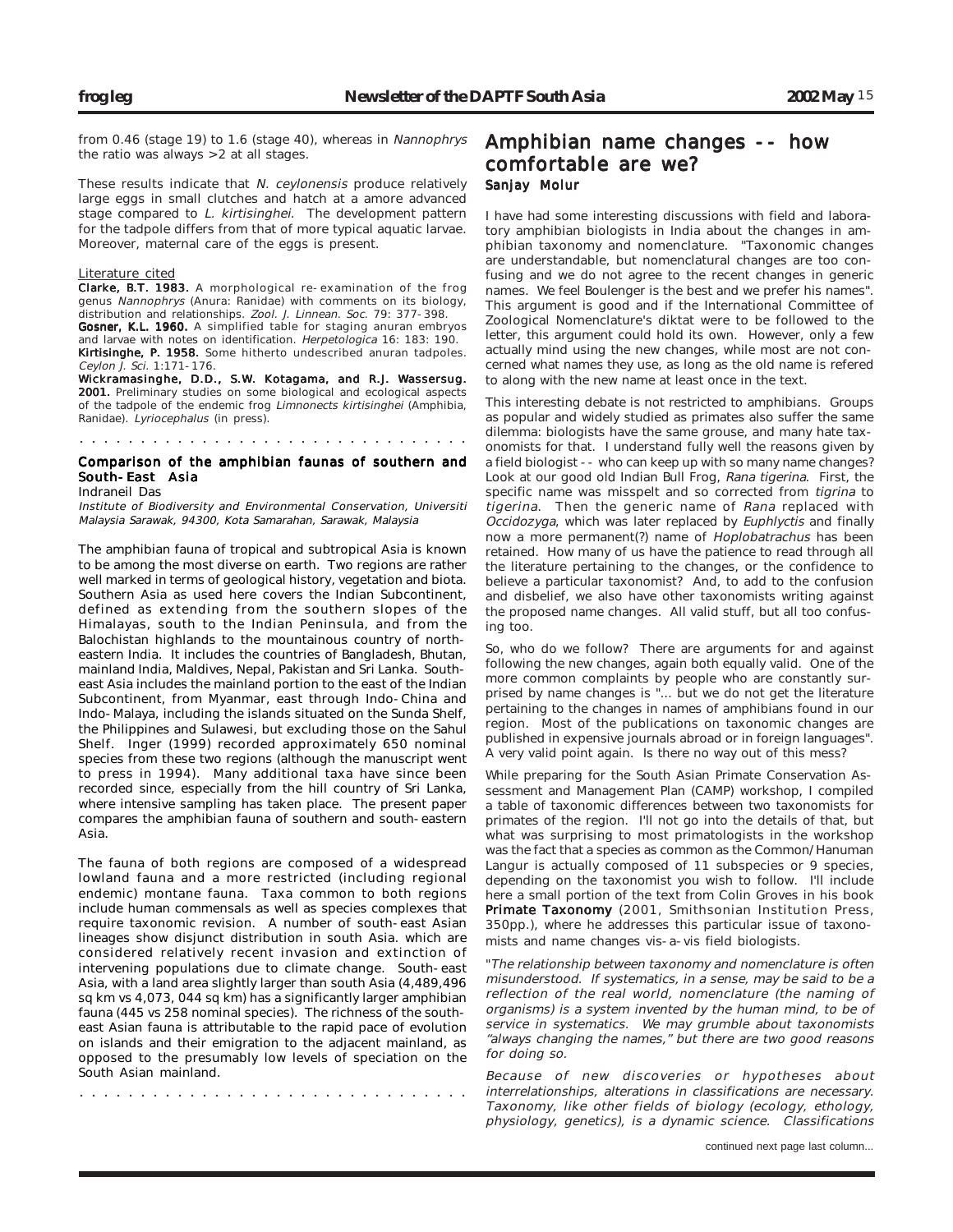from 0.46 (stage 19) to 1.6 (stage 40), whereas in Nannophrys the ratio was always >2 at all stages.

These results indicate that N. ceylonensis produce relatively large eggs in small clutches and hatch at a amore advanced stage compared to L. kirtisinghei. The development pattern for the tadpole differs from that of more typical aquatic larvae. Moreover, maternal care of the eggs is present.

#### Literature cited

Clarke, B.T. 1983. A morphological re-examination of the frog genus Nannophrys (Anura: Ranidae) with comments on its biology, distribution and relationships. Zool. J. Linnean. Soc. 79: 377-398.

Gosner, K.L. 1960. A simplified table for staging anuran embryos and larvae with notes on identification. Herpetologica 16: 183: 190. Kirtisinghe, P. 1958. Some hitherto undescribed anuran tadpoles. Ceylon J. Sci. 1:171-176.

Wickramasinghe, D.D., S.W. Kotagama, and R.J. Wassersug. 2001. Preliminary studies on some biological and ecological aspects of the tadpole of the endemic frog Limnonects kirtisinghei (Amphibia, Ranidae). Lyriocephalus (in press).

## Comparison of the amphibian faunas of southern and ○○○○○○○○○○○○○○○○○○○○○○○○○○○○○○○○

South-East Asia Indraneil Das

Institute of Biodiversity and Environmental Conservation, Universiti Malaysia Sarawak, 94300, Kota Samarahan, Sarawak, Malaysia

The amphibian fauna of tropical and subtropical Asia is known to be among the most diverse on earth. Two regions are rather well marked in terms of geological history, vegetation and biota. Southern Asia as used here covers the Indian Subcontinent, defined as extending from the southern slopes of the Himalayas, south to the Indian Peninsula, and from the Balochistan highlands to the mountainous country of northeastern India. It includes the countries of Bangladesh, Bhutan, mainland India, Maldives, Nepal, Pakistan and Sri Lanka. Southeast Asia includes the mainland portion to the east of the Indian Subcontinent, from Myanmar, east through Indo-China and Indo-Malaya, including the islands situated on the Sunda Shelf, the Philippines and Sulawesi, but excluding those on the Sahul Shelf. Inger (1999) recorded approximately 650 nominal species from these two regions (although the manuscript went to press in 1994). Many additional taxa have since been recorded since, especially from the hill country of Sri Lanka, where intensive sampling has taken place. The present paper compares the amphibian fauna of southern and south-eastern Asia.

The fauna of both regions are composed of a widespread lowland fauna and a more restricted (including regional endemic) montane fauna. Taxa common to both regions include human commensals as well as species complexes that require taxonomic revision. A number of south-east Asian lineages show disjunct distribution in south Asia. which are considered relatively recent invasion and extinction of intervening populations due to climate change. South-east Asia, with a land area slightly larger than south Asia (4,489,496 sq km vs 4,073, 044 sq km) has a significantly larger amphibian fauna (445 vs 258 nominal species). The richness of the southeast Asian fauna is attributable to the rapid pace of evolution on islands and their emigration to the adjacent mainland, as opposed to the presumably low levels of speciation on the South Asian mainland.

○○○○○○○○○○○○○○○○○○○○○○○○○○○○○○○○

# Amphibian name changes -- how comfortable are we? Sanjay Molur

I have had some interesting discussions with field and laboratory amphibian biologists in India about the changes in amphibian taxonomy and nomenclature. "Taxonomic changes are understandable, but nomenclatural changes are too confusing and we do not agree to the recent changes in generic names. We feel Boulenger is the best and we prefer his names". This argument is good and if the International Committee of Zoological Nomenclature's diktat were to be followed to the letter, this argument could hold its own. However, only a few actually mind using the new changes, while most are not concerned what names they use, as long as the old name is refered to along with the new name at least once in the text.

This interesting debate is not restricted to amphibians. Groups as popular and widely studied as primates also suffer the same dilemma: biologists have the same grouse, and many hate taxonomists for that. I understand fully well the reasons given by a field biologist -- who can keep up with so many name changes? Look at our good old Indian Bull Frog, Rana tigerina. First, the specific name was misspelt and so corrected from tigrina to tigerina. Then the generic name of Rana replaced with Occidozyga, which was later replaced by Euphlyctis and finally now a more permanent(?) name of Hoplobatrachus has been retained. How many of us have the patience to read through all the literature pertaining to the changes, or the confidence to believe a particular taxonomist? And, to add to the confusion and disbelief, we also have other taxonomists writing against the proposed name changes. All valid stuff, but all too confusing too.

So, who do we follow? There are arguments for and against following the new changes, again both equally valid. One of the more common complaints by people who are constantly surprised by name changes is "... but we do not get the literature pertaining to the changes in names of amphibians found in our region. Most of the publications on taxonomic changes are published in expensive journals abroad or in foreign languages". A very valid point again. Is there no way out of this mess?

While preparing for the South Asian Primate Conservation Assessment and Management Plan (CAMP) workshop, I compiled a table of taxonomic differences between two taxonomists for primates of the region. I'll not go into the details of that, but what was surprising to most primatologists in the workshop was the fact that a species as common as the Common/Hanuman Langur is actually composed of 11 subspecies or 9 species, depending on the taxonomist you wish to follow. I'll include here a small portion of the text from Colin Groves in his book Primate Taxonomy (2001, Smithsonian Institution Press, 350pp.), where he addresses this particular issue of taxonomists and name changes vis-a-vis field biologists.

"The relationship between taxonomy and nomenclature is often misunderstood. If systematics, in a sense, may be said to be a reflection of the real world, nomenclature (the naming of organisms) is a system invented by the human mind, to be of service in systematics. We may grumble about taxonomists "always changing the names," but there are two good reasons for doing so.

Because of new discoveries or hypotheses about interrelationships, alterations in classifications are necessary. Taxonomy, like other fields of biology (ecology, ethology, physiology, genetics), is a dynamic science. Classifications